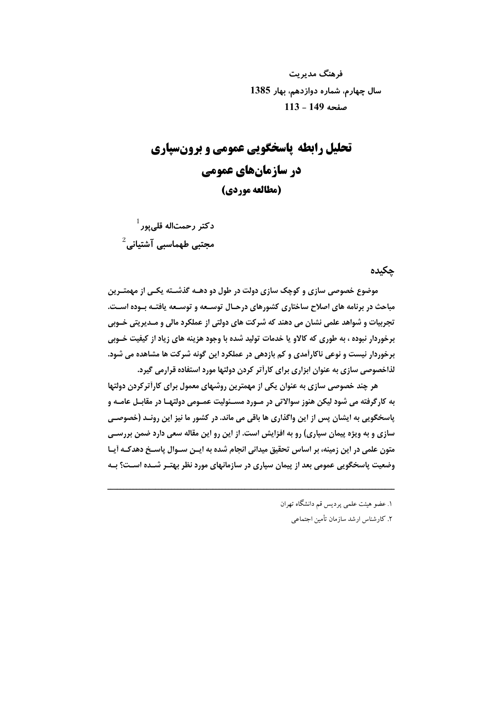فرهنگ مدیریت سال چهارم، شماره دوازدهم، بهار 1385 صفحه 149 - 113

# تحلیل رابطه پاسخگویی عمومی و برونسیاری در سازمان های عمومی (مطالعه موردي)

 $^{-1}$ دکتر رحمتاله قلی $_{\rm g}$ ر مجتبی طهماسبی آشتیانی $^2$ 

#### حكىدە

موضوع خصوصي سازي و کوچک سازي دولت در طول دو دهــه گذشــته يکــي از مهمتــرين مباحث در برنامه های اصلاح ساختاری کشورهای درحـال توسـعه و توسـعه یافتـه بـوده اسـت. تجربیات و شواهد علمی نشان می دهند که شرکت های دولتی از عملکرد مالی و مـدیریتی خـوبی پرخوردار نبوده ، په طوري که کالاو یا خدمات تولید شده یا وجود هزینه های زیاد از کیفیت خـوبی برخوردار نیست و نوعی ناکارآمدی و کم بازدهی در عملکرد این گونه شرکت ها مشاهده می شود. لذاخصوصی سازی به عنوان ابزاری برای کارأتر کردن دولتها مورد استفاده قرارمی گیرد.

هر چند خصوصی سازی به عنوان یکی از مهمترین روشهای معمول برای کارآترکردن دولتها به کارگرفته می شود لیکن هنوز سوالاتی در مـورد مسـئولیت عمـومی دولتهـا در مقابـل عامـه و پاسخگویی به ایشان پس از این واگذاری ها باقی می ماند. در کشور ما نیز این رونـد (خصوصـی سازی و به ویژه پیمان سپاری) رو به افزایش است. از این رو این مقاله سعی دارد ضمن بررسـی متون علمی در این زمینه، بر اساس تحقیق میدانی انجام شده به ایـن سـوال پاسـخ دهدکـه اَیـا وضعیت پاسخگویی عمومی بعد از پیمان سپاری در سازمانهای مورد نظر بهتـر شــده اسـت؟ بـه

۱. عضو هیئت علمی پردیس قم دانشگاه تهران

۲. کارشناس ارشد سازمان تأمین اجتماعی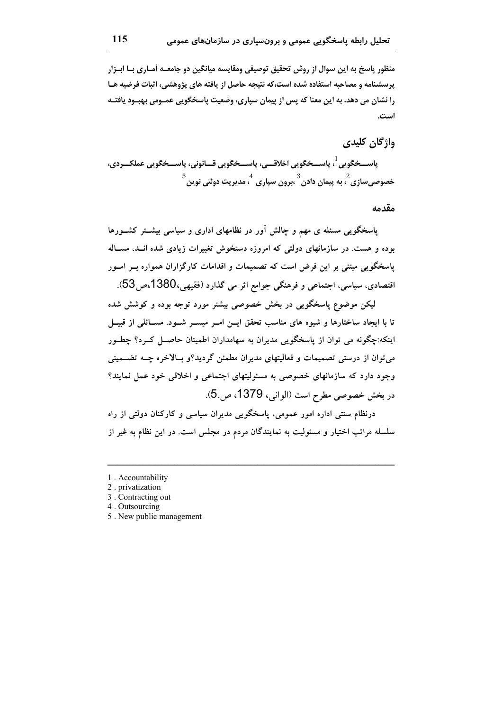منظور پاسخ به این سوال از روش تحقیق توصیفی ومقایسه میانگین دو جامعــه آمـاری بــا ابــزار پرسشنامه و مصاحبه استفاده شده است،که نتیجه حاصل از یافته های پژوهشی، اثبات فرضیه هـا را نشان می دهد. به این معنا که پس از پیمان سیاری، وضعیت پاسخگویی عمـومی بهبـود یافتـه است.

واژگان کلیدی

پاســـخگویی <sup>1</sup> پاســـخگویی اخلاقـــی، پاســـخگویی قـــانونی، پاســـخگویی عملکـــردی،  $^5$ خصوصی سازی  $^2$  به پیمان دادن  $^3$ برون سیاری  $^4$  مدیریت دولتی نوین

مقدمه

پاسخگویی مسئله ی مهم و چالش آور در نظامهای اداری و سیاسی بیشــتر کشــورها بوده و هست. در سازمانهای دولتی که امروزه دستخوش تغییرات زیادی شده انــد، مســاله پاسخگویی مبتنی بر این فرض است که تصمیمات و اقدامات کارگزاران همواره بــر امــور اقتصادي، سياسي، اجتماعي و فرهنگي جوامع اثر مي گذارد (فقيهي،1380،ص53).

لیکن موضوع پاسخگویی در بخش خصوصی بیشتر مورد توجه بوده و کوشش شده تا با ایجاد ساختارها و شیوه های مناسب تحقق ایــن امــر میســر شــود. مســائلی از قبیــل اینکه:چگونه می توان از پاسخگویی مدیران به سهامداران اطمینان حاصــل کــرد؟ چطــور می توان از درستی تصمیمات و فعالیتهای مدیران مطمئن گردید؟و بـالاخره چــه تضــمینی وجود دارد که سازمانهای خصوصی به مسئولیتهای اجتماعی و اخلاقی خود عمل نمایند؟ در بخش خصوصی مطرح است (الوانی، 1379، ص5.).

درنظام سنتی اداره امور عمومی، پاسخگویی مدیران سیاسی و کارکنان دولتی از راه سلسله مراتب اختیار و مسئولیت به نمایندگان مردم در مجلس است. در این نظام به غیر از

1. Accountability

5. New public management

<sup>2.</sup> privatization

<sup>3.</sup> Contracting out

<sup>4.</sup> Outsourcing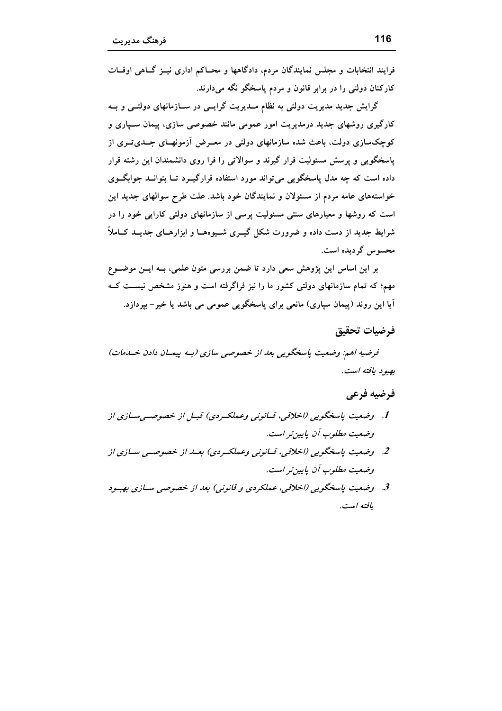فرایند انتخابات و مجلس نمایندگان مردم، دادگاهها و محـاکم اداری نیــز گــاهی اوقــات کارکنان دولتی را در برابر قانون و مردم پاسخگو نگه میدارند.

گرایش جدید مدیریت دولتی به نظام مــدیریت گرایــی در ســازمانهای دولتــی و بــه کارگیری روشهای جدید درمدیریت امور عمومی مانند خصوصی سازی، پیمان سـباری و کوچکسازی دولت، باعث شده سازمانهای دولتی در معـرض آزمونهـای جــدیتــری از یاسخگویی و پرسش مسئولیت قرار گیرند و سوالاتی را فرا روی دانشمندان این رشته قرار داده است که چه مدل پاسخگویی میتواند مورد استفاده قرارگیــرد تــا بتوانــد جوابگــوی خواستههای عامه مردم از مسئولان و نمایندگان خود باشد. علت طرح سوالهای جدید این است که روشها و معیارهای سنتی مسئولیت پرسی از سازمانهای دولتی کارایی خود را در شرایط جدید از دست داده و ضرورت شکل گیــری شــیوههــا و ابزارهــای جدیــد کــاملاً محسوس گردیده است.

بر این اساس این پژوهش سعی دارد تا ضمن بررسی متون علمی، بـه ایــن موضــوع مهم؛ که تمام سازمانهای دولتی کشور ما را نیز فراگرفته است و هنوز مشخص نیســت کــه اً یا این روند (پیمان سپاری) مانعی برای پاسخگویی عمومی می باشد یا خیر – بیردازد.

#### فرضيات تحقيق

فرضيه اهم: وضعيت ياسخگويي بعد از خصوصي سازي (بـه پيمـان دادن خـلـهات) بهبود يافته است.

# فرضيه فرعي

- 1. وضعیت پاسخگویی (اخلاقی، قسانونی وعملک ردی) قبسل از خصوصه پسسازی از وضعيت مطلوب آن ياپين تر است.
- 2. وضعیت پاسخگویے، (اخلاقی، قسانونی وعملکردی) بعسد از خصوصی سازی از وضعيت مطلوب أن ياپين تر است.
- 3. پوضعيت پاسخگويي (اخلاقي، عملكردي و قانوني) بعد از خصوصي سيازي بهيود يافتە است.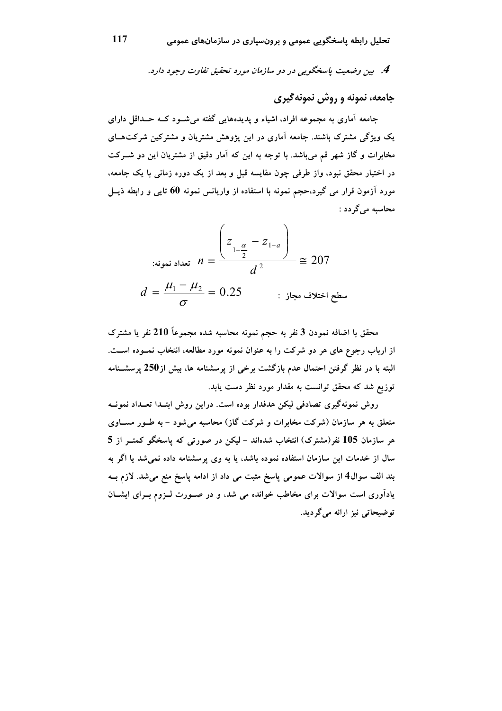4. بين وضعيت ياسخگويي در دو سازمان مورد تحقيق تفاوت وجود دارد.

# جامعه، نمونه و روش نمونه گیری

جامعه آماری به مجموعه افراد، اشیاء و پدیدههایی گفته میشود کـه حـداقل دارای یک ویژگی مشترک باشند. جامعه آماری در این پژوهش مشتریان و مشترکین شرکتهـای مخابرات و گاز شهر قم میباشد. با توجه به این که آمار دقیق از مشتریان این دو شــرکت در اختیار محقق نبود، واز طرفی چون مقایسه قبل و بعد از یک دوره زمانی با یک جامعه، مورد آزمون قرار می گیرد،حجم نمونه با استفاده از واریانس نمونه 60 تایی و رابطه ذیــل محاسبه مي گر دد :

$$
n \equiv \frac{\left(z_{1-\frac{\alpha}{2}} - z_{1-a}\right)}{d^2} \equiv 207
$$
  

$$
d = \frac{\mu_1 - \mu_2}{\sigma} = 0.25
$$
:  $207$ 

محقق با اضافه نمودن 3 نفر به حجم نمونه محاسبه شده مجموعاً 210 نفر یا مشترک از ارباب رجوع های هر دو شرکت را به عنوان نمونه مورد مطالعه، انتخاب نمــوده اســت. البته با در نظر گرفتن احتمال عدم بازگشت برخی از پرسشنامه ها، بیش از250 پرسشـنامه توزیع شد که محقق توانست به مقدار مورد نظر دست یابد.

روش نمونهگیری تصادفی لیکن هدفدار بوده است. دراین روش ابتــدا تعــداد نمونــه متعلق به هر سازمان (شرکت مخابرات و شرکت گاز) محاسبه می شود – به طــور مســاوی هر سازمان 105 نفر(مشترک) انتخاب شدهاند – لیکن در صورتی که پاسخگو کمتــر از 5 سال از خدمات این سازمان استفاده نموده باشد، یا به وی پرسشنامه داده نمیشد یا اگر به بند الف سوال4 از سوالات عمومی پاسخ مثبت می داد از ادامه پاسخ منع میشد. لازم بــه یادآوری است سوالات برای مخاطب خوانده می شد، و در صـورت لـزوم بـرای ایشــان توضیحاتی نیز ارائه میگردید.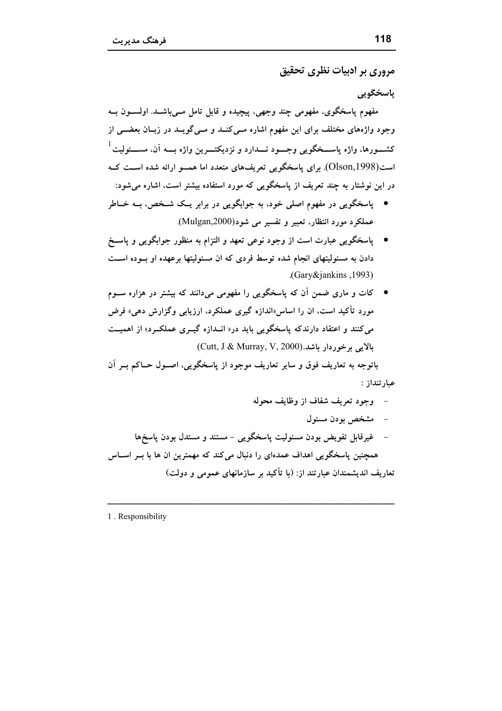مروري پر ادبيات نظري تحقيق

ياسخگويي

مفهوم پاسخگوی، مفهومی چند وجهی، پیچیده و قابل تامل مــیباشــد. اولســون بــه وجود واژههای مختلف برای این مفهوم اشاره مـیکنــد و مــیگویــد در زبــان بعضــی از کشــــورها، واژه پاســـخگویی وجــــود نــــدارد و نزدیکتــــرین واژه بــــه آن، مســــئولیت<sup>1</sup> است(Olson,1998). برای پاسخگویی تعریفهای متعدد اما همسو ارائه شده اســت کــه در این نوشتار به چند تعریف از پاسخگویی که مورد استفاده بیشتر است، اشاره می شود:

- پاسخگویی در مفهوم اصلی خود، به جوابگویی در برابر یــک شــخص، بــه خــاطر عملکرد مورد انتظار، تعبیر و تفسیر می شود(Mulgan,2000).
- پاسخگویی عبارت است از وجود نوعی تعهد و التزام به منظور جوابگویی و پاسـخ دادن به مسئولیتهای انجام شده توسط فردی که ان مسئولیتها برعهده او بـوده اسـت .(Gary&jankins, 1993).
- کات و ماری ضمن آن که پاسخگویی را مفهومی میدانند که بیشتر در هزاره سـوم مورد تأکید است، ان را اساس «اندازه گیری عملکرد، ارزیابی وگزارش دهی» فرض میکنند و اعتقاد دارندکه پاسخگویی باید در« انــدازه گیــری عملکــرد» از اهمیــت  $(Cutt, J & Murray, V, 2000)$ ، مالاس بوخوردار ماشد.

باتوجه به تعاريف فوق و ساير تعاريف موجود از ياسخگويي، اصـول حــاكم بــر آن عبارتنداز :

1. Responsibility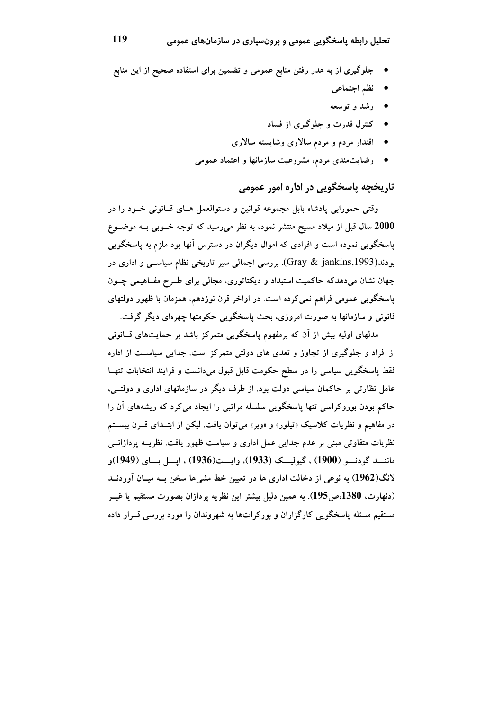- جلوگیری از به هدر رفتن منابع عمومی و تضمین برای استفاده صحیح از این منابع
	- نظم اجتماعی
	- رشد و توسعه
	- کنترل قدرت و جلوگیری از فساد
	- اقتدار مردم و مردم سالاری وشایسته سالاری
	- \_ رضایتمندی مردم، مشروعیت سازمانها و اعتماد عمومی

تاريخچه پاسخگويي در اداره امور عمومي

وقتی حمورابی پادشاه بابل مجموعه قوانین و دستوالعمل هـای قــانونی خــود را در 2000 سال قبل از میلاد مسیح منتشر نمود، به نظر میرسید که توجه خــوبی بــه موضــوع پاسخگويي نموده است و افرادي كه اموال ديگران در دسترس آنها بود ملزم به پاسخگويي بودند(Gray & jankins,1993). بررسی اجمالی سیر تاریخی نظام سیاســی و اداری در جهان نشان می،دهدکه حاکمیت استبداد و دیکتاتوری، مجالبی برای طـرح مفــاهیمی چــون پاسخگویی عمومی فراهم نمی کرده است. در اواخر قرن نوزدهم، همزمان با ظهور دولتهای قانونی و سازمانها به صورت امروزی، بحث پاسخگویی حکومتها چهرهای دیگر گرفت.

مدلهای اولیه بیش از آن که برمفهوم پاسخگویی متمرکز باشد بر حمایتهای قــانونی از افراد و جلوگیری از تجاوز و تعدی های دولتی متمرکز است. جدایی سیاست از اداره فقط پاسخگویی سیاسی را در سطح حکومت قابل قبول میدانست و فرایند انتخابات تنهـا عامل نظارتی بر حاکمان سیاسی دولت بود. از طرف دیگر در سازمانهای اداری و دولتــی، حاکم بودن بوروکراسی تنها پاسخگویی سلسله مراتبی را ایجاد میکرد که ریشههای آن را در مفاهیم و نظریات کلاسیک «تیلور» و «وبر» می توان یافت. لیکن از ابتـدای قــرن بیســتم نظریات متفاوتی مبنی بر عدم جدایی عمل اداری و سیاست ظهور یافت. نظریــه پردازانــی ماننسد گودنسو (1900) ، گیولیسک (1933)، وایست(1936) ، ایسل بسای (1949)و لانگ(1962) به نوعی از دخالت اداری ها در تعیین خط مشیها سخن بــه میــان آوردنـــد (دنهارت، 1380.ص195). به همین دلیل بیشتر این نظریه پردازان بصورت مستقیم یا غیــر مستقیم مسئله پاسخگویی کارگزاران و بورکراتها به شهروندان را مورد بررسی قــرار داده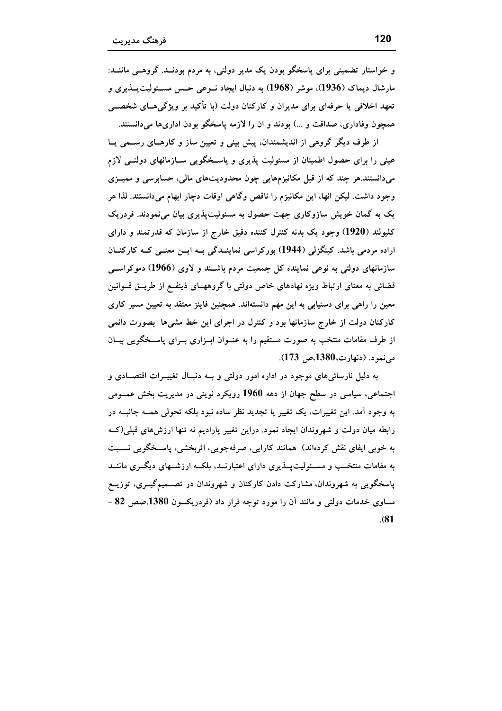و خواستار تضمینی برای پاسخگو بودن یک مدیر دولتی، به مردم بودنــد. گروهــی ماننــد: مارشال دیماک (1936)، موشر (1968) به دنبال ایجاد نــوعی حــس مســئولیت۔پــذیری و تعهد اخلاقی یا حرفهای برای مدیران و کارکنان دولت (با تأکید بر ویژگی هــای شخصــی همچون وفاداری، صداقت و …) بودند و ان را لازمه پاسخگو بودن اداریها میدانستند.

از طرف دیگر گروهی از اندیشمندان، پیش بینی و تعیین ساز و کارهـای رســمی یــا عینی را برای حصول اطمینان از مسئولیت پذیری و پاسـخگویی ســازمانهای دولتــی لازم میدانستند.هر چند که از قبل مکانیزمهایی چون محدودیتهای مالی، حسابرسی و ممیــزی وجود داشت. لیکن انها، این مکانیزم را ناقص وگاهی اوقات دچار ابهام میدانستند. لذا هر یک به گمان خویش سازوکاری جهت حصول به مسئولیتپذیری بیان می نمودند. فردریک کلیولند (1920) وجود یک بدنه کنترل کننده دقیق خارج از سازمان که قدرتمند و دارای اراده مردمی باشد، کینگزلی (1944) بورکراسی نماینــدگی بــه ایــن معنــی کــه کارکنــان سازمانهای دولتی به نوعی نماینده کل جمعیت مردم باشـند و لاوی (1966) دموکراســی قضائی به معنای ارتباط ویژه نهادهای خاص دولتی با گروههـای ذینفـع از طریــق قــوانین معین را راهی برای دستیابی به این مهم دانستهاند. همچنین فاینز معتقد به تعیین مسیر کاری کارکنان دولت از خارج سازمانها بود و کنترل در اجرای این خط مشیها بصورت دائمی از طرف مقامات منتخب به صورت مستقیم را به عنــوان ابــزاری بــرای پاســخگویی بیــان مي نمود. (دنهارت،1380،ص 173).

به دلیل نارسائی های موجود در اداره امور دولتی و بـه دنبـال تغییــرات اقتصــادی و اجتماعی، سیاسی در سطح جهان از دهه 1960 رویکرد نوینی در مدیریت بخش عمــومی به وجود اَمد. این تغییرات، یک تغییر یا تجدید نظر ساده نبود بلکه تحولی همــه جانبــه در رابطه میان دولت و شهروندان ایجاد نمود. دراین تغییر پارادیم نه تنها ارزش های قبلی(کــه به خوبی ایفای نقش کردهاند) همانند کارایی، صرفهجویی، اثربخشی، پاسـخگویی نســبت به مقامات منتخـب و مســئولیت پـــذیری دارای اعتبارنـــد، بلکــه ارزشـــهای دیگـــری ماننـــد پاسخگویی به شهروندان، مشارکت دادن کارکنان و شهروندان در تصــمیمگیــری، توزیــع مساوی خدمات دولتی و مانند آن را مورد توجه قرار داد (فردریکسون 1380،صص 82 - $(81)$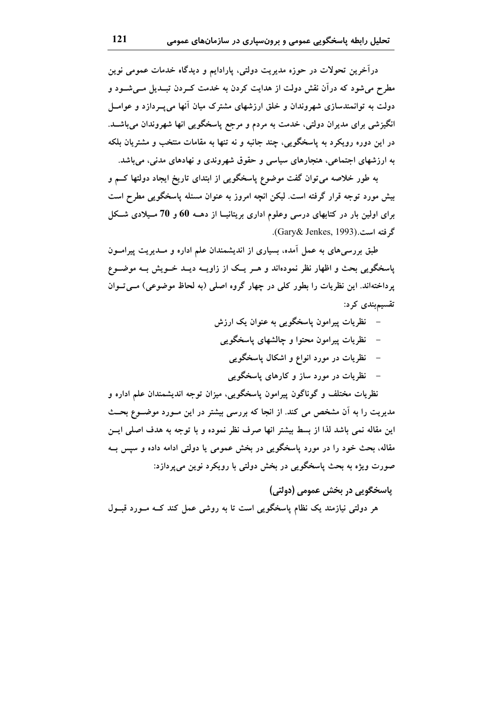درآخرین تحولات در حوزه مدیریت دولتی، پارادایم و دیدگاه خدمات عمومی نوین مطرح می شود که درآن نقش دولت از هدایت کردن به خدمت کــردن تبــدیل مــی شــود و دولت به توانمندسازی شهروندان و خلق ارزشهای مشترک میان آنها میپسردازد و عوامــل انگیزشی برای مدیران دولتی، خدمت به مردم و مرجع پاسخگویی انها شهروندان میباشــد. در این دوره رویکرد به پاسخگویی، چند جانبه و نه تنها به مقامات منتخب و مشتریان بلکه به ارزشهای اجتماعی، هنجارهای سیاسی و حقوق شهروندی و نهادهای مدنی، میباشد.

به طور خلاصه می توان گفت موضوع پاسخگویی از ابتدای تاریخ ایجاد دولتها کــم و بیش مورد توجه قرار گرفته است. لیکن انچه امروز به عنوان مسئله پاسخگویی مطرح است برای اولین بار در کتابهای درسی وعلوم اداری بریتانیــا از دهــه 60 و 70 مــیلادی شــکا گرفته است.(Gary& Jenkes, 1993).

طبق بررسی های به عمل آمده، بسیاری از اندیشمندان علم اداره و مــدیریت پیرامــون پاسخگویی بحث و اظهار نظر نمودهاند و هـر یـک از زاویــه دیــد خــویش بــه موضــوع یرداختهاند. این نظریات را بطور کلی در چهار گروه اصلی (به لحاظ موضوعی) مےتوان تقسیمېندی کرد:

- نظریات پیرامون پاسخگویی به عنوان یک ارزش نظریات پیرامون محتوا و چالشهای پاسخگویی
	- - نظریات در مورد انواع و اشکال پاسخگویی
		- نظریات در مورد ساز و کارهای پاسخگویی

نظریات مختلف و گوناگون ییرامون یاسخگویی، میزان توجه اندیشمندان علم اداره و مدیریت را به آن مشخص می کند. از انجا که بررسی بیشتر در این مـورد موضــوع بحــث این مقاله نمی باشد لذا از بسط بیشتر انها صرف نظر نموده و با توجه به هدف اصلی ایس مقاله، بحث خود را در مورد پاسخگویی در بخش عمومی یا دولتی ادامه داده و سپس بــه صورت ويژه به بحث پاسخگويي در بخش دولتي با رويکرد نوين مي پردازد:

پاسخگویی در بخش عمومی (دولتی) هر دولتی نیازمند یک نظام پاسخگویی است تا به روشی عمل کند کــه مــورد قبــول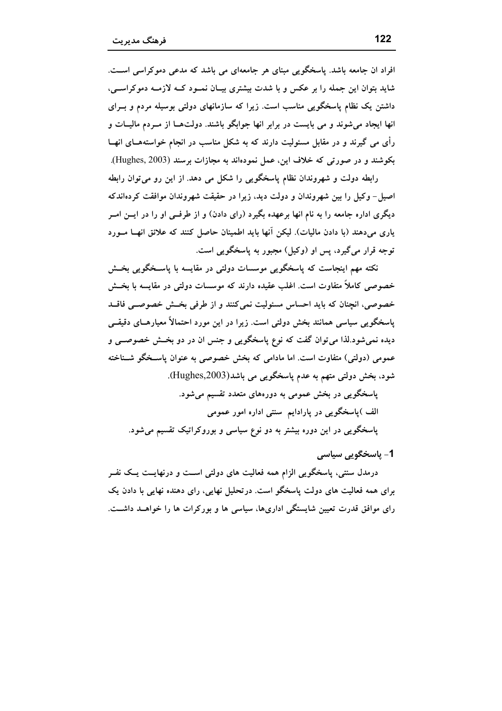افراد ان جامعه باشد. پاسخگویی مبنای هر جامعهای می باشد که مدعی دموکراسی است. شاید بتوان این جمله را بر عکس و با شدت بیشتری بیـان نمـود کـه لازمـه دموکراسـی، داشتن یک نظام پاسخگویی مناسب است. زیرا که سازمانهای دولتی بوسیله مردم و بــرای انها ایجاد میشوند و می بایست در برابر انها جوابگو باشند. دولتهـا از مـردم مالیــات و رأی می گیرند و در مقابل مسئولیت دارند که به شکل مناسب در انجام خواستههـای انهــا بکوشند و در صورتی که خلاف این، عمل نمودهاند به مجازات برسند (Hughes, 2003).

رابطه دولت و شهروندان نظام پاسخگویی را شکل می دهد. از این رو می توان رابطه اصيل- وكيل را بين شهروندان و دولت ديد، زيرا در حقيقت شهروندان موافقت كردهاندكه دیگری اداره جامعه را به نام انها برعهده بگیرد (رای دادن) و از طرفــی او را در ایــن امــر یاری میدهند (با دادن مالیات). لیکن آنها باید اطمینان حاصل کنند که علائق انهــا مــورد توجه قرار می گیرد، پس او (وکیل) مجبور به پاسخگویی است.

نکته مهم اینجاست که پاسخگویی موسسات دولتی در مقایسه با پاسـخگویی بخــش خصوصی کاملاً متفاوت است. اغلب عقیده دارند که موسسات دولتی در مقایسه با بخـــش خصوصی، انچنان که باید احساس مسئولیت نمی کنند و از طرفی بخـش خصوصــی فاقــد پاسخگویی سیاسی همانند بخش دولتی است. زیرا در این مورد احتمالاً معیارهــای دقیقــی دیده نمیشود.لذا می توان گفت که نوع پاسخگویی و جنس ان در دو بخـش خصوصــی و عمومی (دولتی) متفاوت است. اما مادامی که بخش خصوصی به عنوان پاسـخگو شــناخته شود، بخش دولتی متهم به عدم پاسخگویی می باشد(Hughes,2003).

یاسخگویی در بخش عمومی به دورههای متعدد تقسیم میشود. الف )پاسخگویی در پارادایم ًسنتی اداره امور عمومی پاسخگویی در این دوره بیشتر به دو نوع سیاسی و بوروکراتیک تقسیم میشود.

#### 1- ياسخگويي سياسي

درمدل سنتی، پاسخگویی الزام همه فعالیت های دولتی اســت و درنهایــت یــک نفــر برای همه فعالیت های دولت یاسخگو است. درتحلیل نهایی، رای دهنده نهایی با دادن یک رای موافق قدرت تعیین شایستگی اداریها، سیاسی ها و بورکرات ها را خواهــد داشــت.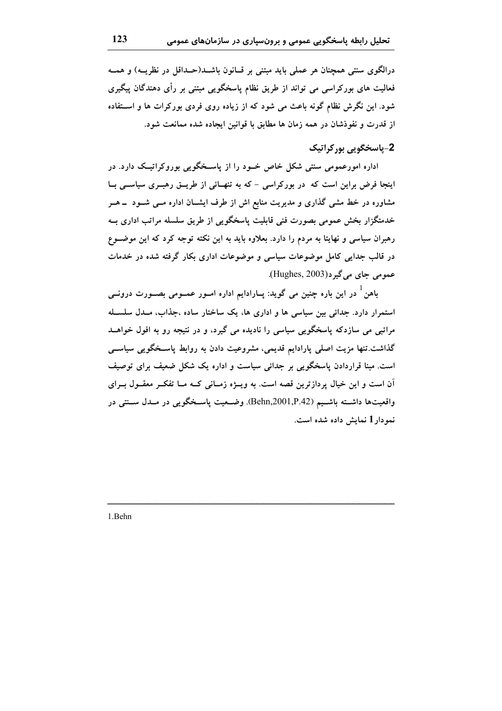درالگوی سنتی همچنان هر عملی باید مبتنی بر قــانون باشــد(حــداقل در نظریــه) و همــه فعالیت های بورکراسی می تواند از طریق نظام پاسخگویی مبتنی بر رأی دهندگان پیگیری شود. این نگرش نظام گونه باعث می شود که از زیاده روی فردی بورکرات ها و استفاده از قدرت و نفوذشان در همه زمان ها مطابق با قوانین ایجاده شده ممانعت شود.

# 2-پاسخگويي پور کراتيک

اداره امورعمومی سنتی شکل خاص خــود را از پاسـخگویی بوروکراتیــک دارد. در اینجا فرض براین است که در بورکراسی - که به تنهـائی از طریــق رهبــری سیاســی بــا مشاوره در خط مشی گذاری و مدیریت منابع اش از طرف ایشــان اداره مــی شــود \_ هــر خدمتگزار بخش عمومی بصورت فنی قابلیت پاسخگویی از طریق سلسله مراتب اداری بــه رهبران سیاسی و نهایتا به مردم را دارد. بعلاوه باید به این نکته توجه کرد که این موضـوع در قالب جدایی کامل موضوعات سیاسی و موضوعات اداری بکار گرفته شده در خدمات عمومي جاي مي گير د(Hughes, 2003).

باهن<sup>1</sup> در این باره چنین می گوید: پــارادایم اداره اسـور عمــومی بصــورت درونــی استمرار دارد. جدائی بین سیاسی ها و اداری ها، یک ساختار ساده ،جذاب، مـدل سلسـله مراتبی می سازدکه پاسخگویی سیاسی را نادیده می گیرد، و در نتیجه رو به افول خواهــد گذاشت.تنها مزیت اصلی پارادایم قدیمی، مشروعیت دادن به روابط پاسـخگویی سیاسـی است. مبنا قراردادن پاسخگویی بر جدائی سیاست و اداره یک شکل ضعیف برای توصیف آن است و این خیال پردازترین قصه است. به ویــژه زمــانی کــه مــا تفکــر معقــول بــرای واقعیتها داشــته باشــیم (Behn,2001,P.42). وضــعیت پاســخگویی در مــدل ســنتی در نمودار 1 نمایش داده شده است.

1.Behn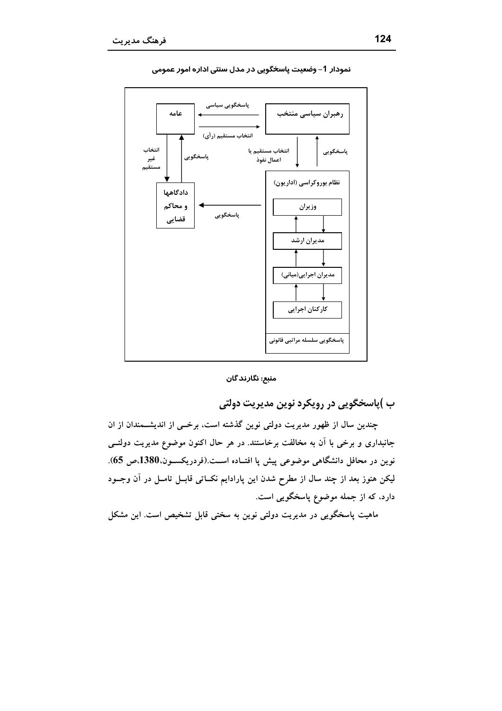

نمودار 1- وضعیت پاسخگویی در مدل سنتی اداره امور عمومی

منبع: نگارند گان

ب )پاسخگويي در رويکرد نوين مديريت دولتي

چندین سال از ظهور مدیریت دولتی نوین گذشته است، برخــی از اندیشــمندان از ان جانبداری و برخی با آن به مخالفت برخاستند. در هر حال اکنون موضوع مدیریت دولتــی نوين در محافل دانشگاهي موضوعي پيش پا افتــاده اســت.(فردريكســون،1380،ص 65). لیکن هنوز بعد از چند سال از مطرح شدن این پارادایم نکــاتی قابــل تامــل در آن وجــود دارد، که از جمله موضوع پاسخگویی است.

ماهیت پاسخگویی در مدیریت دولتی نوین به سختی قابل تشخیص است. این مشکل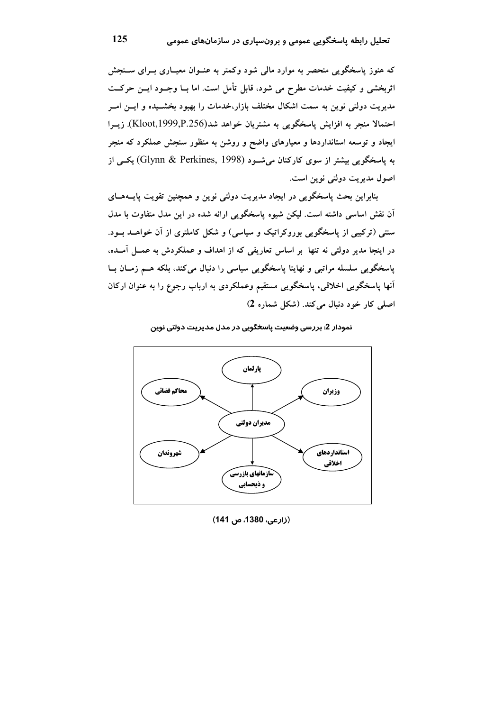که هنوز پاسخگویی منحصر به موارد مالی شود وکمتر به عنــوان معیــاری بــرای ســنجش اثربخشی و کیفیت خدمات مطرح می شود، قابل تأمل است. اما بــا وجــود ایــن حرکــت مدیریت دولتی نوین به سمت اشکال مختلف بازار،خدمات را بهبود بخشــیده و ایــن امــر احتمالا منجر به افزایش پاسخگویی به مشتریان خواهد شد(Kloot,1999,P.256). زیــرا ایجاد و توسعه استانداردها و معیارهای واضح و روشن به منظور سنجش عملکرد که منجر به پاسخگویی بیشتر از سوی کارکنان میشـود (Glynn & Perkines, 1998) یکــی از اصول مديريت دولتي نوين است.

بنابراین بحث پاسخگویی در ایجاد مدیریت دولتی نوین و همچنین تقویت پایــههــای آن نقش اساسی داشته است. لیکن شیوه پاسخگویی ارائه شده در این مدل متفاوت با مدل سنتی (ترکیبی از پاسخگویی بوروکراتیک و سیاسی) و شکل کاملتری از آن خواهــد بــود. در اینجا مدیر دولتی نه تنها بر اساس تعاریفی که از اهداف و عملکردش به عمــل آمــده، پاسخگویی سلسله مراتبی و نهایتا پاسخگویی سیاسی را دنبال میکند، بلکه هــم زمــان بــا أنها پاسخگویی اخلاقی، پاسخگویی مستقیم وعملکردی به ارباب رجوع را به عنوان ارکان اصلی کار خود دنبال می کند. (شکل شماره 2)

نمودار 2: بررسی وضعیت پاسخگویی در مدل مدیریت دولتی نوین



(زارعی، 1380، ص 141)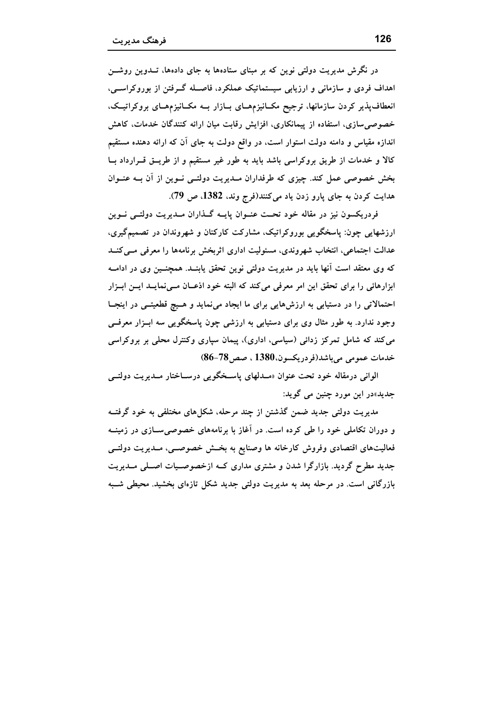در نگرش مدیریت دولتی نوین که بر مبنای ستادهها به جای دادهها، تــدوین روشـــن اهداف فردی و سازمانی و ارزیابی سیستماتیک عملکرد، فاصـله گـرفتن از بوروکراســی، انعطاف پذیر کردن سازمانها، ترجیح مکـانیزمهـای بـازار بــه مکـانیزمهـای بروکراتیـک، خصوصی سازی، استفاده از پیمانکاری، افزایش رقابت میان ارائه کنندگان خدمات، کاهش اندازه مقیاس و دامنه دولت استوار است، در واقع دولت به جای آن که ارائه دهنده مستقیم کالا و خدمات از طریق بروکراسی باشد باید به طور غیر مستقیم و از طریــق قــرارداد بــا بخش خصوصی عمل کند. چیزی که طرفداران مـدیریت دولتــی نــوین از آن بــه عنــوان هدايت كردن به جاى پارو زدن ياد مى كنند(فرج وند، 1382، ص 79).

فردریکسون نیز در مقاله خود تحـت عنــوان پایــه گــذاران مــدیریت دولتــی نــوین ارزشهایی چون: پاسخگویی بوروکراتیک، مشارکت کارکنان و شهروندان در تصمیمگیری، عدالت اجتماعی، انتخاب شهروندی، مسئولیت اداری اثربخش برنامهها را معرفی مسیکنــد که وی معتقد است آنها باید در مدیریت دولتی نوین تحقق یابنــد. همچنــین وی در ادامــه ابزارهائی را برای تحقق این امر معرفی میکند که البته خود اذعـان مــینمایــد ایــن ابــزار احتمالاتی را در دستیابی به ارزشهایی برای ما ایجاد مینماید و هـیچ قطعیتـی در اینجـا وجود ندارد. به طور مثال وی برای دستیابی به ارزشی چون پاسخگویی سه ابـزار معرفــی می کند که شامل تمرکز زدائی (سیاسی، اداری)، پیمان سپاری وکنترل محلی بر بروکراسی خدمات عمومي ميباشد(فردريكسون،1380 ، صص36-86)

الوانی درمقاله خود تحت عنوان «مـدلهای پاسـخگویی درسـاختار مـدیریت دولتــی جديد»در اين مورد چنين مي گويد:

مدیریت دولتی جدید ضمن گذشتن از چند مرحله، شکل های مختلفی به خود گرفتــه و دوران تکاملی خود را طی کرده است. در آغاز با برنامههای خصوصی ســازی در زمینــه فعالیتهای اقتصادی وفروش کارخانه ها وصنایع به بخش خصوصــی، مــدیریت دولتــی جدید مطرح گردید. بازارگرا شدن و مشتری مداری کــه ازخصوصــیات اصــلی مــدیریت بازرگانی است. در مرحله بعد به مدیریت دولتی جدید شکل تازهای بخشید. محیطی شــبه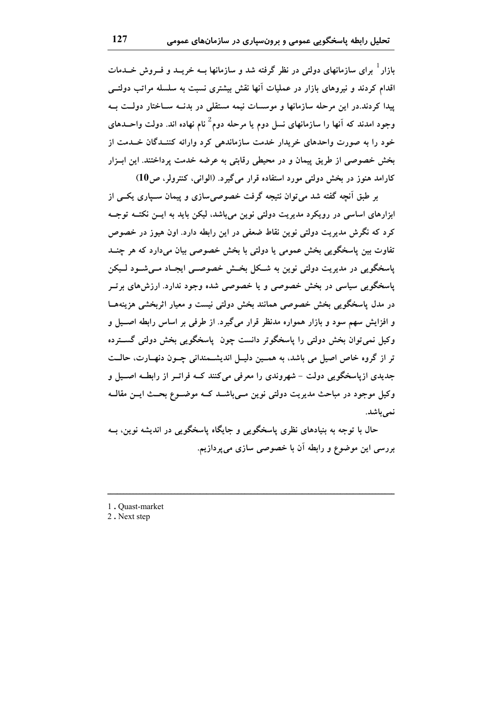بازار<sup>ا</sup> برای سازمانهای دولتی در نظر گرفته شد و سازمانها ب خریبد و فیروش خیدمات اقدام کردند و نیروهای بازار در عملیات آنها نقش بیشتری نسبت به سلسله مراتب دولتے پیدا کردند.در این مرحله سازمانها و موسسات نیمه مستقلی در بدنــه ســاختار دولــت بــه وجود امدند که آنها را سازمانهای نسل دوم یا مرحله دوم<sup>2</sup> نام نهاده اند. دولت واحــدهای خود را به صورت واحدهای خریدار خدمت سازماندهی کرد وارائه کننــدگان خــدمت از بخش خصوصی از طریق پیمان و در محیطی رقابتی به عرضه خدمت پرداختند. این ابـزار کارامد هنوز در بخش دولتی مورد استفاده قرار میگیرد. (الوانی، کنترولر، ص10)

بر طبق اَنجه گفته شد می توان نتیجه گرفت خصوصی سازی و پیمان سـیاری یکــی از ابزارهای اساسی در رویکرد مدیریت دولتی نوین میباشد، لیکن باید به ایــن نکتــه توجــه کرد که نگرش مدیریت دولتی نوین نقاط ضعفی در این رابطه دارد. اون هیوز در خصوص تفاوت بین پاسخگویی بخش عمومی یا دولتی با بخش خصوصی بیان میدارد که هر چنــد پاسخگویی در مدیریت دولتی نوین به شـکل بخـش خصوصــی ایجـاد مــیشــود لــیکن پاسخگویی سیاسی در بخش خصوصی و یا خصوصی شده وجود ندارد. ارزش های برتو در مدل پاسخگویی بخش خصوصی همانند بخش دولتی نیست و معیار اثربخشی هزینههـا و افزایش سهم سود و بازار همواره مدنظر قرار میگیرد. از طرفی بر اساس رابطه اصــیل و وکيل نمې توان بخش دولتي را پاسخگوتر دانست چون پاسخگويي بخش دولتي گسترده تر از گروه خاص اصیل می باشد، به همـین دلیـل اندیشـمندانی چـون دنهـارت، حالــت جدیدی ازیاسخگویی دولت - شهروندی را معرفی میکنند کــه فراتــر از رابطــه اصـــیل و وکیل موجود در مباحث مدیریت دولتی نوین مےباشـد کـه موضـوع بحـث ایــن مقالــه نمى باشد.

حال با توجه به بنیادهای نظری پاسخگویی و جایگاه پاسخگویی در اندیشه نوین، بــه بررسی این موضوع و رابطه آن با خصوصی سازی می پردازیم.

- 1. Quast-market
- 2. Next step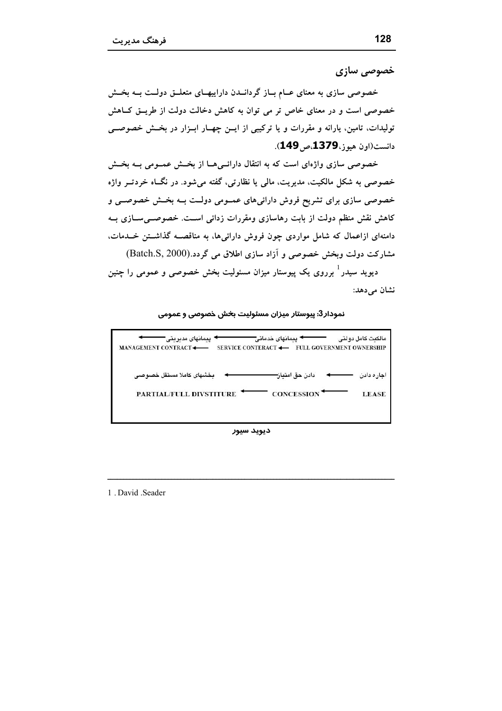خصوصی سازی

خصوصی سازی به معنای عــام بــاز گردانــدن داراییهــای متعلــق دولــت بــه بخــش خصوصی است و در معنای خاص تر می توان به کاهش دخالت دولت از طریــق کــاهش تولیدات، تامین، پارانه و مقررات و یا ترکیبی از ایـن چهـار ابـزار در بخـش خصوصــی دانست(اون هيوز، **1379**،ص **149**).

خصوصی سازی واژهای است که به انتقال دارائسی هــا از بخــش عمــومی بــه بخــش خصوصی به شکل مالکیت، مدیریت، مالی یا نظارتی، گفته میشود. در نگــاه خردتــر واژه خصوصی سازی برای تشریح فروش دارائیهای عمـومی دولـت بــه بخــش خصوصــی و کاهش نقش منظم دولت از بابت رهاسازی ومقررات زدائی اسـت. خصوصــیســازی بــه دامنهای ازاعمال که شامل مواردی چون فروش دارائیها، به مناقصــه گذاشــتن خــدمات. مشارکت دولت وبخش خصوصی و آزاد سازی اطلاق می گردد.(Batch.S, 2000)

دیوید سیدر ٔ برروی یک پیوستار میزان مسئولیت بخش خصوصی و عمومی را چنین نشان م<sub>ی</sub>دهد:

#### نمودار3: پیوستار میزان مسئولیت بخش خصوصی و عمومی

| · يبمانهاى خدماتى <del>--</del><br>مالكبت كامل دولتى<br>ییمانهای مدیریتی"  |
|----------------------------------------------------------------------------|
| SERVICE CONTERACT <-<br>MANAGEMENT CONTRACT <<br>FULL GOVERNMENT OWNERSHIP |
|                                                                            |
| بخشهاى كاملا مستقل خصوصى<br>دادن حق امتباز-<br>اجار ہ دادن                 |
| CONCESSION <sup>+</sup><br>PARTIAL/FULL DIVSTITURE<br><b>LEASE</b>         |
|                                                                            |
|                                                                            |

ديويد سيور

1. David .Seader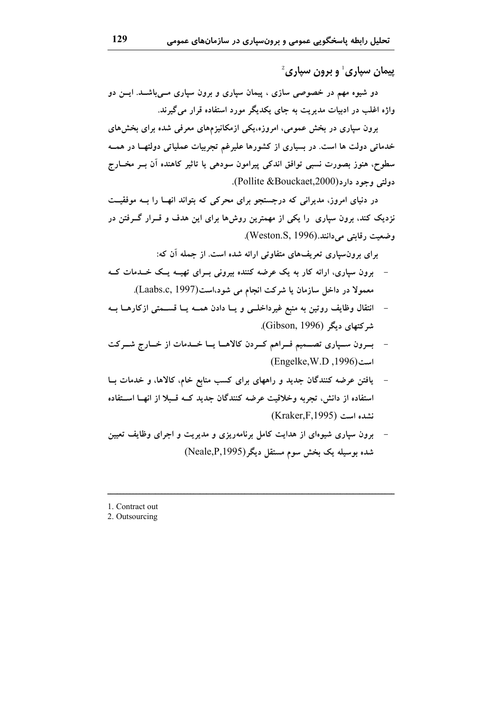$^2$ پيمان سياري ً و برون سياري

دو شیوه مهم در خصوصی سازی ، پیمان سپاری و برون سپاری مــیباشــد. ایــن دو واژه اغلب در ادبیات مدیریت به جای یکدیگر مورد استفاده قرار می گیرند.

برون سپاری در بخش عمومی، امروزه،یکی ازمکانیزمهای معرفی شده برای بخشهای خدماتی دولت ها است. در بسیاری از کشورها علیرغم تجربیات عملیاتی دولتهـا در همــه سطوح، هنوز بصورت نسبی توافق اندکی پیرامون سودهی یا تاثیر کاهنده آن بــر مخــارج دولتي وجود دارد(Pollite &Bouckaet,2000).

در دنیای امروز، مدیرانی که درجستجو برای محرکی که بتواند انهــا را بــه موفقیــت نزدیک کند، برون سپاری ًرا یکی از مهمترین روشها برای این هدف و قــرار گــرفتن در وضعیت رقابتی می دانند.(Weston.S, 1996).

برای برونسپاری تعریفهای متفاوتی ارائه شده است. از جمله آن که:

- برون سیاری، ارائه کار به یک عرضه کننده بیرونی بـرای تهیــه یــک خــدمات کــه معمولا در داخل سازمان یا شرکت انجام می شود،است(Laabs.c, 1997).
- انتقال وظایف روتین به منبع غیرداخلـی و یــا دادن همــه یــا قســمتی ازکارهــا بــه  $\overline{a}$ شرکتهای دیگر (Gibson, 1996).
- بسرون سـپاری تصــمیم فــراهم کــردن کالاهــا یــا خــدمات از خــارج شــرکت است (1996, Engelke, W.D)
- یافتن عرضه کنندگان جدید و راههای برای کسب منابع خام، کالاها، و خدمات بـا استفاده از دانش، تجربه وخلاقیت عرضه کنندگان جدید کــه قـبلا از انهــا اســتفاده نشده است (Kraker.F.1995)
- برون سپاری شیوهای از هدایت کامل برنامهریزی و مدیریت و اجرای وظایف تعیین شده بوسیله یک بخش سوم مستقل دیگر(Neale,P,1995)
- 1. Contract out

2. Outsourcing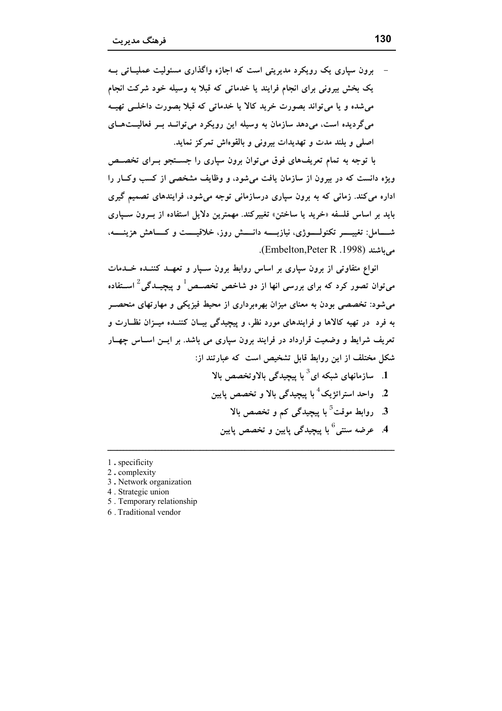برون سیاری یک رویکرد مدیریتی است که اجازه واگذاری مسئولیت عملیـاتی ب یک بخش بیرونی برای انجام فرایند یا خدماتی که قبلا به وسیله خود شرکت انجام می شده و یا می تواند بصورت خرید کالا یا خدماتی که قبلا بصورت داخلــی تهیــه میگردیده است، میدهد سازمان به وسیله این رویکرد می توانـد بـر فعالیــتهـای اصلی و بلند مدت و تهدیدات بیرونی و بالقوهاش تمرکز نماید.

با توجه به تمام تعریفهای فوق می توان برون سپاری را جســتجو بــرای تخصــص ویژه دانست که در بیرون از سازمان یافت میشود، و وظایف مشخصی از کسب وک)ر را اداره می کند. زمانی که به برون سپاری درسازمانی توجه میشود، فرایندهای تصمیم گیری بايد بر اساس فلسفه «خريد يا ساختن» تغييركند. مهمترين دلايل استفاده از بـرون سـيارى شـــامل: تغییــــــر تکنولــــــوژی، نیازبـــــه دانـــــش روز، خلاقیـــــت و کــــاهش هزینـــــه، می باشند (Embelton,Peter R .1998).

انواع متفاوتی از برون سپاری بر اساس روابط برون سـپار و تعهـد کننـده خـدمات میتوان تصور کرد که برای بررسی انها از دو شاخص تخصـص ٔ و ییچیــدگی ٔ اســتفاده می شود: تخصصی بودن به معنای میزان بهره برداری از محیط فیزیکی و مهارتهای منحصــر به فرد در تهیه کالاها و فرایندهای مورد نظر، و پیچیدگی بیـان کننــده میــزان نظــارت و تعریف شرایط و وضعیت قرارداد در فرایند برون سیاری می باشد. بر ایــن اســاس چهــار شکل مختلف از این روابط قابل تشخیص است که عبارتند از: ا. ۔ سازمانھای شبکه ای $^3$  یا پیچیدگی بالاوتخصص بالا . 2. واحد استراتژیک<sup>4</sup> با پیچیدگی بالا و تخصص پایین 3. روابط موقت<sup>5</sup> با پیچیدگی کم و تخصص بالا 4. عرضه سنتي<sup>6</sup> با پيچيدگي پايين و تخصص پايين

- 1. specificity
- 2. complexity
- 3. Network organization
- 4. Strategic union 5. Temporary relationship
- 6. Traditional vendor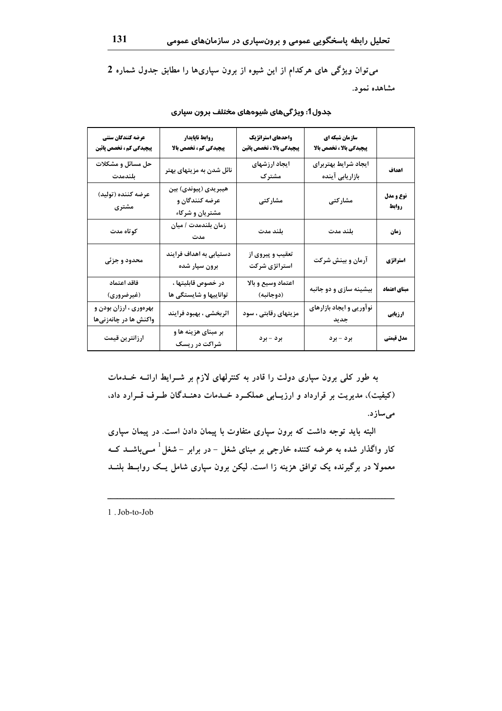می توان ویژگی های هرکدام از این شیوه از برون سپاریها را مطابق جدول شماره 2

مشاهده نمود.

| عرضه كنندگان سنتي<br>پیچیدگی کم ، تخصص پائین    | روابط ناپایدار<br>پیچیدگی کم، تخصص بالا                   | واحدهاي استراتژيك<br>پیچیدگی بالا ، تخصص پائین | سازمان شبکه ای<br>پیچیدگی بالا ، تخصص بالا |                    |
|-------------------------------------------------|-----------------------------------------------------------|------------------------------------------------|--------------------------------------------|--------------------|
| حل مسائل و مشکلات<br>بلندمدت                    | نائل شدن به مزیتهای بهتر                                  | ايجاد ارزشهاى<br>مشترک                         | ايجاد شرايط بهتربراي<br>بازاریابی آینده    | اهداف              |
| عرضه كننده (توليد)<br>مشتری                     | هيبريدي (پيوندي) بين<br>عرضه کنندگان و<br>مشتریان و شرکاء | مشاركتى                                        | مشاركتى                                    | نوع و مدل<br>روابط |
| كوتاه مدت                                       | زمان بلندمدت / ميان<br>مدت                                | بلند مدت                                       | بلند مدت                                   | زمان               |
| محدود و جزئی                                    | دستیابی به اهداف فرایند<br>برون سپار شده                  | تعقیب و پیروی از<br>استراتژی شرکت              | آرمان و بینش شرکت                          | استراتژي           |
| فاقد اعتماد<br>(غیرضروری)                       | در خصوص قابليتها ،<br>تواناییها و شایستگی ها              | اعتماد وسيع و بالا<br>(دوجانبه)                | بیشینه سازی و دو جانبه                     | مبناي اعتماد       |
| بهرهوري ، ارزان بودن و<br>واکنش ها در چانەزنىھا | اثربخشی ، بهبود فرایند                                    | مزیتهای رقابتی ، سود                           | نوآوریی و ایجاد بازارهای<br>جديد           | ارزيابي            |
| ارزانترين قيمت                                  | بر مبنای هزینه ها و<br>شراکت در ریسک                      | برد - برد                                      | برد - برد                                  | مدل قيمتي          |

#### جدول1: ویژگیهای شیوههای مختلف برون سپاری

به طور کلی برون سپاری دولت را قادر به کنترلهای لازم بر شـرایط ارائــه خــدمات (کیفیت)، مدیریت بر قرارداد و ارزیـابی عملکـرد خـدمات دهنـدگان طـرف قـرارد داد، مىسازد.

البته باید توجه داشت که برون سپاری متفاوت با پیمان دادن است. در پیمان سپاری کار واگذار شده به عرضه کننده خارجی بر مبنای شغل – در برابر – شغل<sup>1</sup> مــیباشــد کــه معمولا در برگیرنده یک توافق هزینه زا است. لیکن برون سپاری شامل یـک روابــط بلنــد

1. Job-to-Job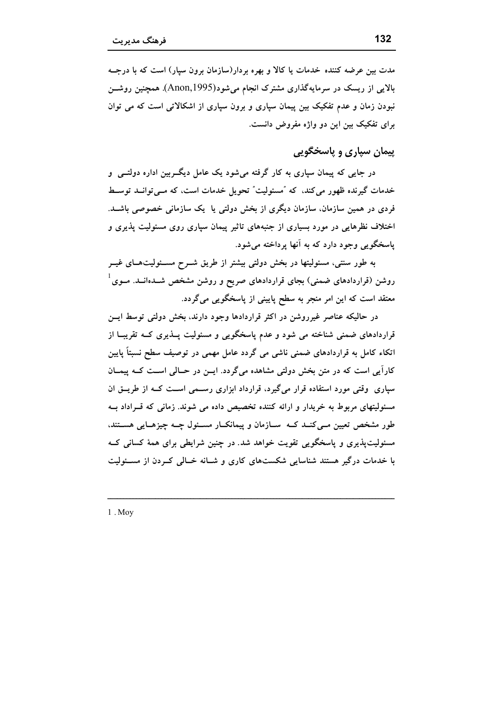مدت بین عرضه کننده خدمات یا کالا و بهره بردار(سازمان برون سیار) است که با درجــه بالایی از ریسک در سرمایهگذاری مشترک انجام میشود(Anon,1995). همچنین روشــن نبودن زمان و عدم تفکیک بین پیمان سپاری و برون سپاری از اشکالاتی است که می توان برای تفکیک بین این دو واژه مفروض دانست.

# پيمان سياري و پاسخگويې

در جایی که پیمان سیاری به کار گرفته می شود یک عامل دیگــربین اداره دولتــی و خدمات گیرنده ظهور می کند، که "مسئولیت" تحویل خدمات است، که مــی توانــد توســط فردی در همین سازمان، سازمان دیگری از بخش دولتی یا یک سازمانی خصوصی باشــد. اختلاف نظرهایی در مورد بسیاری از جنبههای تاثیر پیمان سیاری روی مسئولیت پذیری و پاسخگويي وجود دارد که به آنها پرداخته مي شود.

به طور سنتی، مسئولیتها در بخش دولتی بیشتر از طریق شــرح مســئولیتهــای غیــر روشن (قراردادهای ضمنی) بجای قراردادهای صریح و روشن مشخص شــدهانــد. مــوی <sup>۱</sup> معتقد است که این امر منجر به سطح پایینی از پاسخگویی میگردد.

در حالیکه عناصر غیرروشن در اکثر قراردادها وجود دارند، بخش دولتی توسط ایسن قراردادهای ضمنی شناخته می شود و عدم پاسخگویی و مسئولیت پــذیری کــه تقریبــا از اتکاء کامل به قراردادهای ضمنی ناشی می گردد عامل مهمی در توصیف سطح نسبتاً پایین کارآیی است که در متن بخش دولتی مشاهده میگردد. ایس در حـالی اسـت کـه پیمـان سپاری وقتی مورد استفاده قرار میگیرد، قرارداد ابزاری رسمی است کـه از طریــق ان مسئولیتهای مربوط به خریدار و ارائه کننده تخصیص داده می شوند. زمانی که قـراداد بــه طور مشخص تعیین مــیکنــد کــه ســازمان و پیمانکــار مســئول چــه چیزهــایی هســتند، مسئولیتپذیری و پاسخگویی تقویت خواهد شد. در چنین شرایطی برای همهٔ کسانی ک با خدمات درگیر هستند شناسایی شکستهای کاری و شـانه خـالی کـردن از مسـئولیت

 $1.$  Mov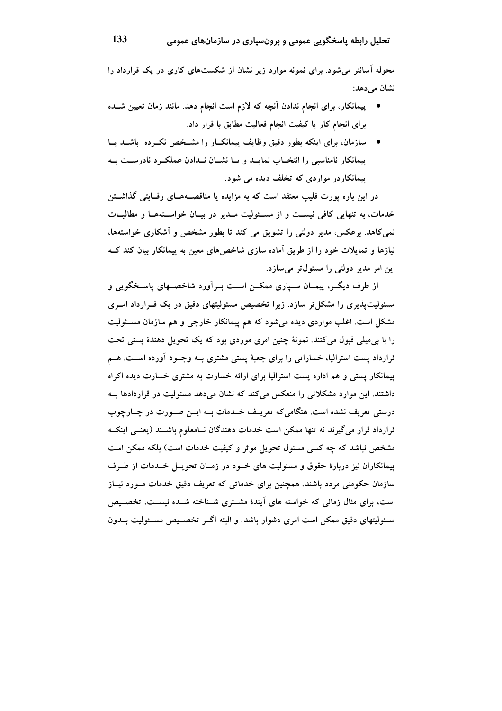محوله آسانتر می شود. برای نمونه موارد زیر نشان از شکستهای کاری در یک قرارداد را نشان مے دھد:

- پیمانکار، برای انجام ندادن اَنچه که لازم است انجام دهد. مانند زمان تعیین شــده برای انجام کار یا کیفیت انجام فعالیت مطابق با قرار داد.
- سازمان. برای اینکه بطور دقیق وظایف پیمانکـار را مشــخص نکــرده باشــد یــا پیمانکار نامناسبی را انتخــاب نمایــد و پــا نشــان نــدادن عملکــرد نادرســت بــه پیمانکاردر مواردی که تخلف دیده می شود.

در این باره پورت فلیپ معتقد است که به مزایده یا مناقصــههــای رقــابتی گذاشـــتن خدمات، به تنهایی کافی نیسـت و از مسـئولیت مـدیر در بیـان خواسـتههـا و مطالبـات نمی کاهد. برعکس، مدیر دولتی را تشویق می کند تا بطور مشخص و آشکاری خواستهها، نیازها و تمایلات خود را از طریق آماده سازی شاخصهای معین به پیمانکار بیان کند ک این امر مدیر دولتی را مسئول تر میسازد.

از طرف دیگــر، پیمــان ســپاری ممکــن اســت بــراَورد شاخصــهای پاســخگویی و مسئولیتپذیری را مشکل تر سازد. زیرا تخصیص مسئولیتهای دقیق در یک قــرارداد امــری مشکل است. اغلب مواردی دیده می شود که هم پیمانکار خارجی و هم سازمان مسـئولیت را با بی میلی قبول میکنند. نمونهٔ چنین امری موردی بود که یک تحویل دهندهٔ پستی تحت قرارداد پست استرالیا، خساراتی را برای جعبهٔ پستی مشتری بــه وجــود آورده اســت. هــم پیمانکار پستی و هم اداره پست استرالیا برای ارائه خسارت به مشتری خسارت دیده اکراه داشتند. این موارد مشکلاتی را منعکس می کند که نشان میدهد مسئولیت در قراردادها بـه درستی تعریف نشده است. هنگامیکه تعریـف خــدمات بــه ایــن صــورت در چــارچوب قرارداد قرار می گیرند نه تنها ممکن است خدمات دهندگان نــامعلوم باشــند (یعنــی اینکــه مشخص نباشد که چه کسی مسئول تحویل موثر و کیفیت خدمات است) بلکه ممکن است پیمانکاران نیز دربارهٔ حقوق و مسئولیت های خــود در زمــان تحویــل خــدمات از طــرف سازمان حکومتی مردد باشند. همچنین برای خدماتی که تعریف دقیق خدمات مـورد نیــاز است، برای مثال زمانی که خواسته های آیندهٔ مشــتری شــناخته شــده نیســت، تخصــیص مسئولیتهای دقیق ممکن است امری دشوار باشد. و البته اگــر تخصــیص مســئولیت بــدون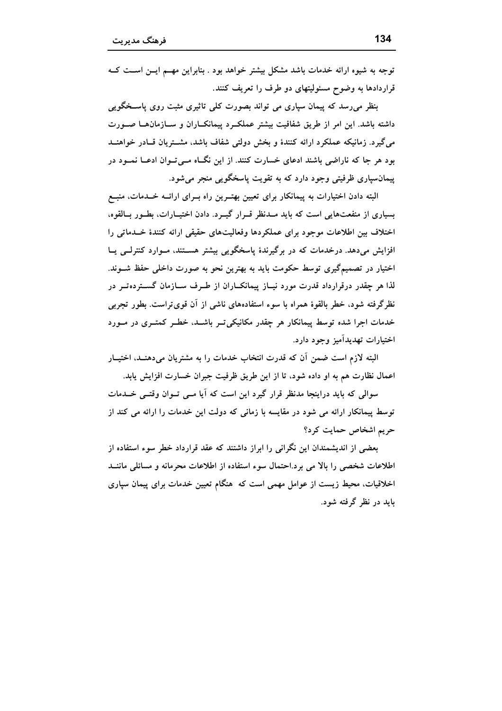توجه به شیوه ارائه خدمات باشد مشکل بیشتر خواهد بود . بنابراین مهـم ایــن اســت کــه قراردادها به وضوح مسئولیتهای دو طرف را تعریف کنند.

بنظر می رسد که پیمان سیاری می تواند بصورت کلی تاثیری مثبت روی پاســخگویی داشته باشد. این امر از طریق شفافیت بیشتر عملکـرد پیمانکـاران و سـازمانهـا صـورت میگیرد. زمانیکه عملکرد ارائه کنندهٔ و بخش دولتی شفاف باشد، مشــتریان قــادر خواهنــد بود هر جا که ناراضی باشند ادعای خسارت کنند. از این نگــاه مــیتــوان ادعــا نمــود در پیمانسپاری ظرفیتی وجود دارد که به تقویت پاسخگویی منجر میشود.

البته دادن اختیارات به پیمانکار برای تعیین بهتـرین راه بـرای ارائــه خــدمات، منبــع بسیاری از منفعتهایی است که باید مـدنظر قـرار گیـرد. دادن اختیـارات، بطـور بـالقوه، اختلاف بین اطلاعات موجود برای عملکردها وفعالیتهای حقیقی ارائه کنندهٔ خــدماتی را افزایش میدهد. درخدمات که در برگیرندهٔ پاسخگویی بیشتر هستند، مـوارد کنترلــی یــا اختیار در تصمیمگیری توسط حکومت باید به بهترین نحو به صورت داخلی حفظ شــوند. لذا هر چقدر درقرارداد قدرت مورد نیــاز پیمانکــاران از طــرف ســازمان گســتردهتــر در نظرگرفته شود، خطر بالقوهٔ همراه با سوء استفادههای ناشی از آن قویتراست. بطور تجربی خدمات اجرا شده توسط پیمانکار هر چقدر مکانیکی تــر باشــد، خطــر کمتــری در مــورد اختيارات تهديدآميز وجود دارد.

البته لازم است ضمن أن كه قدرت انتخاب خدمات را به مشتریان میدهنــد، اختیــار اعمال نظارت هم به او داده شود، تا از این طریق ظرفیت جبران خسارت افزایش پابد.

سوالی که باید دراینجا مدنظر قرار گیرد این است که آیا مــی تــوان وقتــی خــدمات توسط پیمانکار ارائه می شود در مقایسه با زمانی که دولت این خدمات را ارائه می کند از حریم اشخاص حمایت کرد؟

بعضی از اندیشمندان این نگرانی را ابراز داشتند که عقد قرارداد خطر سوء استفاده از اطلاعات شخصی را بالا می برد.احتمال سوء استفاده از اطلاعات محرمانه و مسائلی ماننــد اخلاقیات، محیط زیست از عوامل مهمی است که هنگام تعیین خدمات برای پیمان سپاری باید در نظر گرفته شود.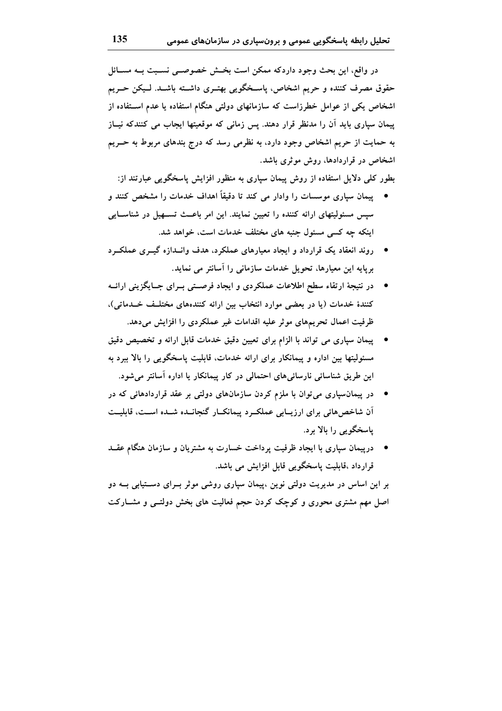در واقع، این بحث وجود داردکه ممکن است بخش خصوصــی نســبت بــه مســائل حقوق مصرف کننده و حریم اشخاص، پاسخگویی بهتـری داشــته باشــد. لــیکن حـریم اشخاص یکی از عوامل خطرزاست که سازمانهای دولتی هنگام استفاده یا عدم اســتفاده از پیمان سپاری باید آن را مدنظر قرار دهند. پس زمانی که موقعیتها ایجاب می کنندکه نیــاز به حمایت از حریم اشخاص وجود دارد، به نظرمی رسد که درج بندهای مربوط به حــریم اشخاص در قراردادها، روش موثری باشد.

بطور کلی دلایل استفاده از روش پیمان سپاری به منظور افزایش پاسخگویی عبارتند از:

- پیمان سپاری موسسات را وادار می کند تا دقیقاً اهداف خدمات را مشخص کنند و سپس مسئولیتهای ارائه کننده را تعیین نمایند. این امر باعـث تسـهیل در شناسـایی اینکه چه کسی مسئول جنبه های مختلف خدمات است، خواهد شد.
- \_ روند انعقاد یک قرارداد و ایجاد معیارهای عملکرد، هدف وانــدازه گیــری عملکــرد برپایه این معیارها، تحویل خدمات سازمانی را اسانتر می نماید.
- در نتیجهٔ ارتقاء سطح اطلاعات عملکردی و ایجاد فرصـتی بــرای جــایگزینی ارائــه كنندهٔ خدمات (یا در بعضی موارد انتخاب بین ارائه كنندههای مختلف خـدماتی)، ظرفیت اعمال تحریمهای موثر علیه اقدامات غیر عملکردی را افزایش میدهد.
- پیمان سپاری می تواند با الزام برای تعیین دقیق خدمات قابل ارائه و تخصیص دقیق مسئولیتها بین اداره و پیمانکار برای ارائه خدمات، قابلیت پاسخگویی را بالا ببرد به این طریق شناسائی نارسائیهای احتمالی در کار پیمانکار یا اداره آسانتر می شود.
- در پیمانسیاری میتوان با ملزم کردن سازمانهای دولتی بر عقد قراردادهائی که در آن شاخص هائی برای ارزیبابی عملک رد پیمانک ار گنجانسده شسده است، قابلیت یاسخگویی را بالا برد.
- \_ درییمان سیاری با ایجاد ظرفیت پرداخت خسارت به مشتریان و سازمان هنگام عقــد قرارداد ،قابلیت پاسخگویی قابل افزایش می باشد.

بر این اساس در مدیریت دولتی نوین ،پیمان سپاری روشی موثر بــرای دســتیابی بــه دو اصل مهم مشتری محوری و کوچک کردن حجم فعالیت های بخش دولتـبی و مشــارکت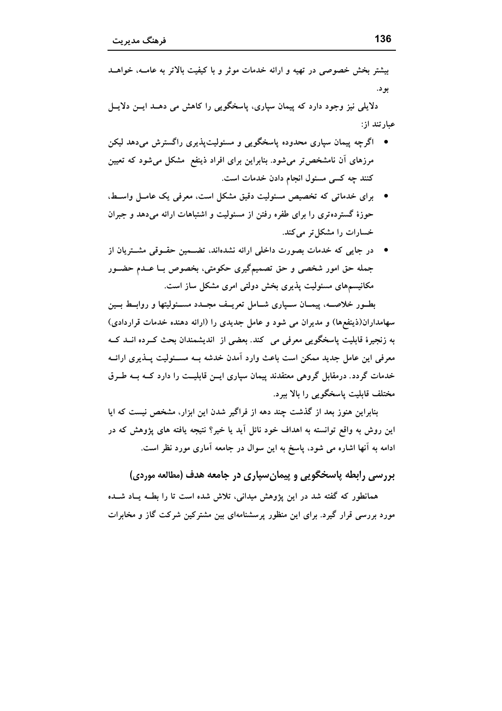دلایلی نیز وجود دارد که پیمان سیاری، پاسخگویی را کاهش می دهــد ایــن دلایــل عبارتند از:

- اگر جه ییمان سیاری محدوده پاسخگویی و مسئولیتپذیری راگسترش میدهد لیکن مرزهای آن نامشخص تر می شود. بنابراین برای افراد ذینفع مشکل می شود که تعیین کنند چه کسی مسئول انجام دادن خدمات است.
- برای خدماتی که تخصیص مسئولیت دقیق مشکل است، معرفی یک عامـل واسـط، حوزهٔ گستردهتری را برای طفره رفتن از مسئولیت و اشتباهات ارائه میدهد و جبران خسارات را مشکل تر می کند.
- در جایی که خدمات بصورت داخلی ارائه نشدهاند، تضــمین حقــوقی مشــتریان از جمله حق امور شخصی و حق تصمیمگیری حکومتی، بخصوص بــا عــدم حضــور مکانیسمهای مسئولیت پذیری بخش دولتی امری مشکل ساز است.

بطـور خلاصـه، پیمــان ســپاری شــامل تعریــف مجــدد مســئولیتها و روابــط بــین سهامداران(ذینفعها) و مدیران می شود و عامل جدیدی را (ارائه دهنده خدمات قراردادی) به زنجيرة قابليت ياسخگويي معرفي مي كند. بعضي از انديشمندان بحث كـرده انــد كــه معرفی این عامل جدید ممکن است باعث وارد آمدن خدشه بــه مســئولیت پــذیری ارائــه خدمات گردد. درمقابل گروهی معتقدند پیمان سیاری ایــن قابلیــت را دارد کــه بــه طــرق مختلف قابلیت پاسخگویی را بالا ببرد.

بنابراین هنوز بعد از گذشت چند دهه از فراگیر شدن این ابزار، مشخص نیست که ایا این روش به واقع توانسته به اهداف خود نائل آید یا خیر؟ نتیجه یافته های یژوهش که در ادامه به آنها اشاره می شود، پاسخ به این سوال در جامعه آماری مورد نظر است.

بررسی رابطه پاسخگویی و پیمان سیاری در جامعه هدف (مطالعه موردی)

همانطور که گفته شد در این پژوهش میدانی، تلاش شده است تا را بطــه پــاد شــده مورد بررسی قرار گیرد. برای این منظور پرسشنامهای بین مشترکین شرکت گاز و مخابرات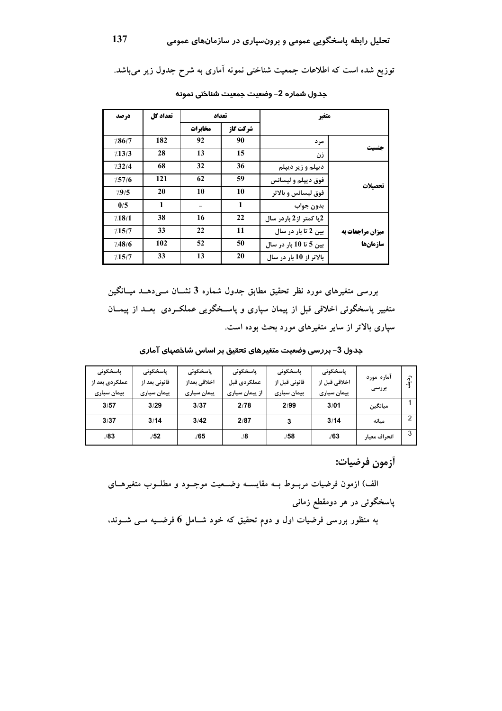توزیع شده است که اطلاعات جمعیت شناختی نمونه آماری به شرح جدول زیر میباشد.

|                  | متغير                   |          | تعداد   | تعداد کل | در صد  |
|------------------|-------------------------|----------|---------|----------|--------|
|                  |                         | شركت گاز | مخابرات |          |        |
|                  | مر د                    | 90       | 92      | 182      | /86/7  |
|                  | زن                      | 15       | 13      | 28       | 13/3   |
|                  | ديپلم و زير ديپلم       | 36       | 32      | 68       | 1/32/4 |
|                  | فوق ديپلم و ليسانس      | 59       | 62      | 121      | 7.57/6 |
| تحصيلات          | فوق ليسانس و بالاتر     | 10       | 10      | 20       | 7.9/5  |
|                  | بدون جواب               | 1        |         | 1        | 0/5    |
|                  | 2یا کمتر از 2 باردر سال | 22       | 16      | 38       | 7.18/1 |
| میزان مراجعات به | بین 2 تا بار در سال     | 11       | 22      | 33       | 7.15/7 |
| سازمانها         | بین 5 تا 10 بار در سال  | 50       | 52      | 102      | 7.48/6 |
|                  | بالاتر از 10 بار در سال | 20       | 13      | 33       | 7.15/7 |

جدول شماره 2– وضعيت جمعيت شناختى نمونه

بررسی متغیرهای مورد نظر تحقیق مطابق جدول شماره 3 نشــان مــیدهــد میــانگین متغییر پاسخگوئی اخلاقی قبل از پیمان سپاری و پاسـخگویی عملکـردی بعــد از پیمــان سپاری بالاتر از سایر متغیرهای مورد بحث بوده است.

جدول 3– بررسی وضعیت متغیرهای تحقیق بر اساس شاخصهای آماری

| یاسخگوئی       | یاسخگوئی      | یاسخگوئے     | پاسخگوئی       | پاسخگوئی      | یاسخگوئی      |              |                          |
|----------------|---------------|--------------|----------------|---------------|---------------|--------------|--------------------------|
| عملکردی بعد از | قانونی بعد از | اخلاقى بعداز | عملكردي قبل    | قانونی قبل از | اخلاقی قبل از | آماره مورد   | $\hat{v}$<br>$\cdot a^2$ |
| پیمان سپاری    | پیمان سپاری   | پیمان سپاری  | از پیمان سپاری | پیمان سپاری   | پیمان سپاری   | بررسى        |                          |
| 3/57           | 3/29          | 3/37         | 2/78           | 2/99          | 3/01          | ميانگين      |                          |
| 3/37           | 3/14          | 3/42         | 2/87           | 3             | 3/14          | مىانە        | $\mathcal{P}$            |
| 1/83           | ./52          | ./65         | ./8            | .158          | .163          | انحراف معيار | 3                        |

أزمون فرضيات:

الف) ازمون فرضیات مربسوط بــه مقایســه وضــعیت موجــود و مطلــوب متغیرهــای پاسخگوئی در هر دومقطع زمانی به منظور بررسی فرضیات اول و دوم تحقیق که خود شــامل 6 فرضــیه مــی شــوند،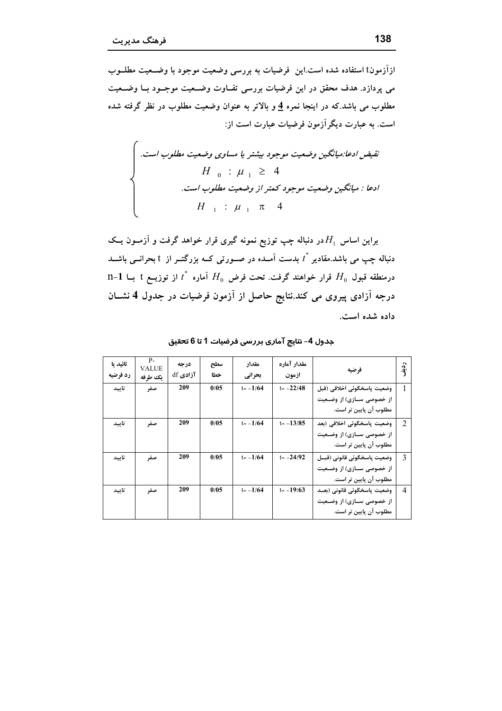ازآزمونt استفاده شده است.این فرضیات به بررسی وضعیت موجود با وضـعیت مطلــوب می پردازد. هدف محقق در این فرضیات بررسی تفــاوت وضــعیت موجــود بــا وضــعیت مطلوب می باشد.که در اینجا نمره <u>4</u> و بالاتر به عنوان وضعیت مطلوب در نظر گرفته شده است. به عبارت دیگرآزمون فرضیات عبارت است از:

تقیض ادعا:میانگین وضعیت موجود بیشتر یا مساوی وضعیت مطلوب است.  
\n
$$
H_0 : \mu_1 \ge 4
$$
  
\nادعا : میانگین وضعیت موجود کمتر از وضعیت مطلوب است.  
\n $H_1 : \mu_1 \pi_4$ 

براین اساس  $H_1$ در دنباله چپ توزیع نمونه گیری قرار خواهد گرفت و آزمــون یــک دنباله چپ می باشد.مقادیر پٔ بدست آمـده در صـورتی کــه بزرگتــر از t بحرانــی باشــد  $1-1$  درمنطقه قبول  $H_0$  قرار خواهند گرفت. تحت فرض  $H_0$  اَماره  $^*$  از توزیــع t بــا درجه آزادی پیروی می کند.نتایج حاصل از آزمون فرضیات در جدول 4 نشــان داده شده است.

| تائيد يا<br>رد فرضیه | P-<br>VALUE<br>ىك ط فه | درجه<br>آزادي df | سطح<br>خطا | مقدار<br>بحراني | مقدار آماره<br>ازمون | فو ضيه                                                                                | $\hat{\sigma}$<br>$\cdot a$ |
|----------------------|------------------------|------------------|------------|-----------------|----------------------|---------------------------------------------------------------------------------------|-----------------------------|
| تاسد                 | صفر                    | 209              | 0/0.5      | $t = -1/64$     | $t = -22/48$         | وضعيت ياسخگوئي اخلاقي (قبل<br>از خصوصی سـازی) از وضـعیت<br>مطلوب آن پایین تر است.     |                             |
| تاسد                 | صفر                    | 209              | 0/05       | $t = -1/64$     | $t = -13/85$         | وضعیت یاسخگوئی اخلاقی (بعد<br>از خصوصی سـازی) از وضـعیت<br>مطلوب آن پایین تر است.     | $\mathfrak{D}$              |
| تاييد                | صفر                    | 209              | 0/05       | $t = -1/64$     | $t = -24/92$         | وضعيت ياسخگوئي قانوني (قبــل<br>از خصوصی ســازی) از وضــعیت<br>مطلوب آن پایین تر است. | $\mathcal{E}$               |
| تاسد                 | صفر                    | 209              | 0/05       | $t = -1/64$     | $t = -19/63$         | وضعيت ياسخگوئي قانوني (بعــد<br>از خصوصی ســازی) از وضــعیت<br>مطلوب آن پایین تر است. | $\overline{4}$              |

جدول 4– نتايج آماري بررسي فرضيات 1 تا 6 تحقيق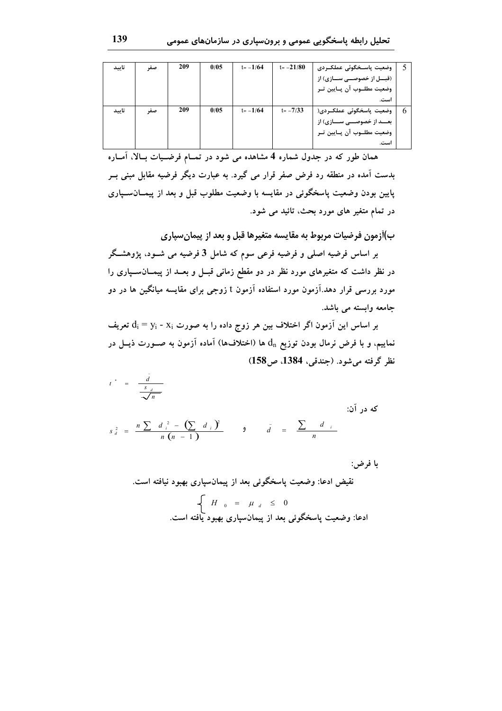| تاييد | صف | 209 | 0/05 | $t = -1/64$ | $t = -21/80$ | وضعیت پاســخگوئی عملکــردی      |   |
|-------|----|-----|------|-------------|--------------|---------------------------------|---|
|       |    |     |      |             |              | (قبـــل از خصوصـــی ســـازی) از |   |
|       |    |     |      |             |              | وضعیت مطلـوب آن پـایین تـر      |   |
|       |    |     |      |             |              | است.                            |   |
| تاييد | صف | 209 | 0/05 | $t = -1/64$ | $t = -7/33$  | وضعیت پاسخگوئی عملک ردی(        | 6 |
|       |    |     |      |             |              | بعــد از خصوصـــی ســـازی) از   |   |
|       |    |     |      |             |              | وضعیت مطلـوب آن پـایین تـر      |   |
|       |    |     |      |             |              | است.                            |   |

همان طور که در جدول شماره 4 مشاهده می شود در تمــام فرضــیات بــالا، آمــاره بدست آمده در منطقه رد فرض صفر قرار می گیرد. به عبارت دیگر فرضیه مقابل مبنی بــر پایین بودن وضعیت پاسخگوئی در مقایسه با وضعیت مطلوب قبل و بعد از پیمــانســپاری در تمام متغیر های مورد بحث، تائید می شود.

ب)اَزمون فرضیات مربوط به مقایسه متغیرها قبل و بعد از پیمان سیاری

بر اساس فرضیه اصلی و فرضیه فرعی سوم که شامل 3 فرضیه می شــود، پژوهشــگر در نظر داشت که متغیرهای مورد نظر در دو مقطع زمانی قبــل و بعــد از پیمــان٠ســپاری را مورد بررسی قرار دهد.آزمون مورد استفاده آزمون t زوجی برای مقایسه میانگین ها در دو جامعه وابسته می باشد.

بر اساس این آزمون اگر اختلاف بین هر زوج داده را به صورت  $\rm d_i$  -  $\rm d_i$  تعریف نماییم، و با فرض نرمال بودن توزیع  $\,{\rm d}_{\rm n}\,$  ها (اختلافها) آماده آزمون به صــورت ذیــل در نظر گرفته مي شود. (جندقي، 1384، ص158)

 $t^* = \frac{d}{s_d}$ 

که در آن:

$$
s_d^2 = \frac{n \sum d_i^2 - (\sum d_i)^2}{n (n - 1)} \qquad \qquad g \qquad \bar{d} = \frac{\sum d_i}{n}
$$

با فرض:

$$
H_0 = \mu_d \leq 0
$$
  
ادعا: وضعیت پاسخگوئی بعد از پیمانسپاری بهبود یافته است.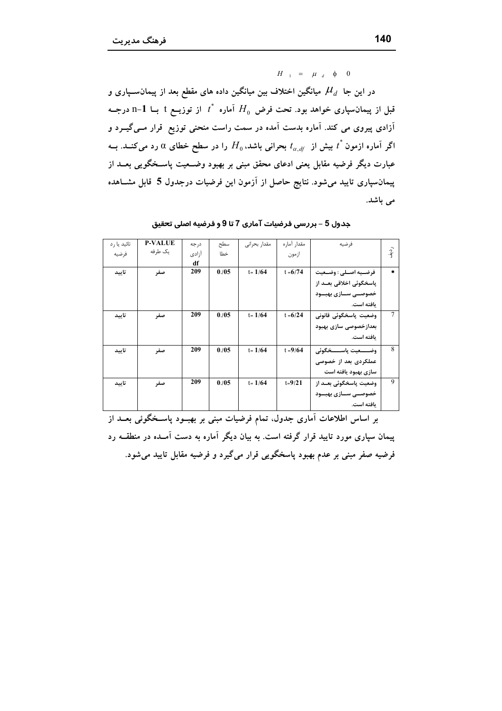$H_{-1} = \mu_d \phi_0$ 

در این جا  $\mu_d$  میانگین اختلاف بین میانگین داده های مقطع بعد از پیمان $u_d$  و قبل از پیمان سیاری خواهد بود. تحت فرض  $H_0$  اَماره  $t^*$  از توزیــع t بــا n−1 درجــه آزادی پیروی می کند. آماره بدست آمده در سمت راست منحنی توزیع قرار مــیگــِـرد و اگر آماره ازمون  $t$  بیش از  $t_{\alpha. df}$  بحرانی باشد، $H_0$  را در سطح خطای  $\alpha$  رد می $\epsilon$ نــد. بــه عبارت دیگر فرضیه مقابل یعنی ادعای محقق مبنی بر بهبود وضــعیت پاســخگویی بعــد از پیمانسپاری تایید میشود. نتایج حاصل از آزمون این فرضیات درجدول 5 قابل مشــاهده می باشد.

| تائید یا ,د | <b>P-VALUE</b> | د, جه | سطح  | مقدار بحرانى | مقدار آماره | فر ضيه                   |       |
|-------------|----------------|-------|------|--------------|-------------|--------------------------|-------|
| فرضيه       | یک طرفه        | آزادى | خطا  |              | ازمون       |                          | ردية. |
|             |                | df    |      |              |             |                          |       |
| تاييد       | صفر            | 209   | 0.05 | $t = 1/64$   | $t = 6/74$  | فرضـيه اصـلى : وضـعيت    | ż.    |
|             |                |       |      |              |             | یاسخگوئی اخلاقی بعــد از |       |
|             |                |       |      |              |             | خصوصــی ســازی بهبــود   |       |
|             |                |       |      |              |             | ىافته است.               |       |
| تاسد        | صفر            | 209   | 0.05 | $t = 1/64$   | $t = 6/24$  | وضعيت ياسخگوئي قانوني    | 7     |
|             |                |       |      |              |             | بعدازخصوصی سازی بهبود    |       |
|             |                |       |      |              |             | ىافته است.               |       |
| تاييد       | صفر            | 209   | 0.05 | $t = 1/64$   | $t = 9/64$  | وضـــــعيت ياســـــخگوئى | 8     |
|             |                |       |      |              |             | عملکردی بعد از خصوصی     |       |
|             |                |       |      |              |             | سازی بهبود یافته است     |       |
| تاسد        | صفر            | 209   | 0.05 | $t = 1/64$   | $t = 9/21$  | وضعیت پاسخگوئی بعـد از   | 9     |
|             |                |       |      |              |             | خصوصــی ســازی بهبــود   |       |
|             |                |       |      |              |             | ىافته است.               |       |

جدول 5 – بررسی فرضیات آماری 7 تا 9 و فرضیه اصلی تحقیق

بر اساس اطلاعات آماری جدول. تمام فرضیات مبنی بر بهبود پاسـخگوئی بعــد از پیمان سپاری مورد تایید قرار گرفته است. به بیان دیگر آماره به دست آمــده در منطقــه رد فرضیه صفر مبنی بر عدم بهبود پاسخگویی قرار میگیرد و فرضیه مقابل تایید میشود.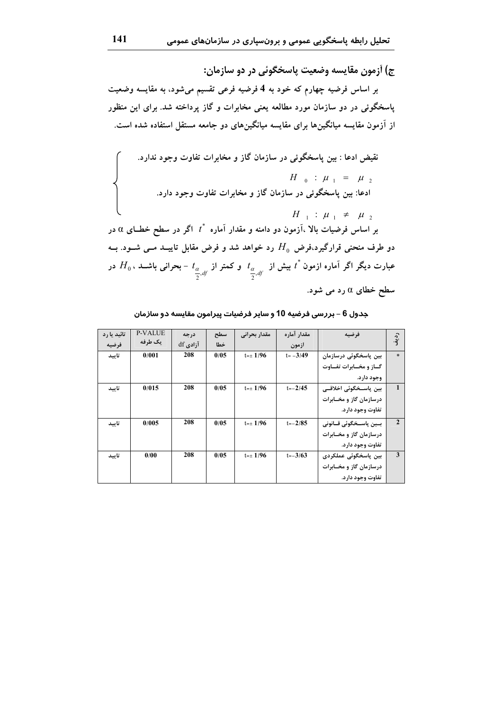ج) آزمون مقايسه وضعيت پاسخگوئی در دو سازمان: بر اساس فرضیه چهارم که خود به 4 فرضیه فرعی تقسیم میشود، به مقایسه وضعیت پاسخگوئی در دو سازمان مورد مطالعه یعنی مخابرات و گاز پرداخته شد. برای این منظور از آزمون مقایسه میانگینها برای مقایسه میانگینهای دو جامعه مستقل استفاده شده است.

نقیض ادعا: بین پاسخگوئی در سازمان گاز و مخابرات تفاوت وجود ندارد.  
\n
$$
H_0 : \mu_1 = \mu_2
$$
  
\nادعا: بین پاسخگوئی در سازمان گاز و مخابرات تفاوت وجود دارد.  
\n $H_1 : \mu_1 ≠ \mu_2$   
\n $\mu_2$   
\n $\mu_3 = \mu_4$   
\n $\mu_1$   
\n $\mu_2$   
\n $\mu_3$   
\n $\mu_4$   
\n $\mu_5$   
\n $\mu_6$   
\n $\mu_7$   
\n $\mu_8$   
\n $\mu_9$   
\n $\mu_1$   
\n $\mu_2$   
\n $\mu_3$   
\n $\mu_6$   
\n $\mu_7$   
\n $\mu_8$   
\n $\mu_9$   
\n $\mu_9$   
\n $\mu_9$   
\n $\mu_9$   
\n $\mu_9$   
\n $\mu_9$   
\n $\mu_9$   
\n $\mu_9$   
\n $\mu_9$   
\n $\mu_9$   
\n $\mu_9$   
\n $\mu_9$   
\n $\mu_9$   
\n $\mu_9$   
\n $\mu_9$   
\n $\mu_9$   
\n $\mu_9$   
\n $\mu_9$   
\n $\mu_9$   
\n $\mu_9$   
\n $\mu_9$   
\n $\mu_9$   
\n $\mu_9$   
\n $\mu_9$   
\n $\mu_9$   
\n $\mu_9$   
\n $\mu_9$   
\n $\mu_9$   
\n $\mu_9$   
\n $\mu_9$   
\n $\mu_9$   
\n $\mu_9$   
\n $\mu_9$   
\n $\mu_9$   
\n $\mu_9$   
\n $\mu_9$   
\n $\mu_$ 

| تائید یا رد | <b>P-VALUE</b> | درجه     | سطح  | مقدار بحرانى   | مقدار آماره | فرضيه                    | رديف           |
|-------------|----------------|----------|------|----------------|-------------|--------------------------|----------------|
| فرضته       | یک طرفه        | أزادي df | خطا  |                | ازمون       |                          |                |
| تاسد        | 0/001          | 208      | 0/05 | $t = \pm 1/96$ | $t = -3/49$ | بین پاسخگوئی درسازمان    | $\ast$         |
|             |                |          |      |                |             | گساز و مخسابرات تفساوت   |                |
|             |                |          |      |                |             | وجود دارد.               |                |
| تاسد        | 0/015          | 208      | 0/05 | $t = \pm 1/96$ | $t = -2/45$ | بین پاســخگوئی اخلاقــی  |                |
|             |                |          |      |                |             | درسازمان گاز و مخـابرات  |                |
|             |                |          |      |                |             | تفاوت وجود دارد.         |                |
| تاسد        | 0/005          | 208      | 0/05 | $t = \pm 1/96$ | $t = -2/85$ | بيين ياســخگوئي قــانوني | $\overline{2}$ |
|             |                |          |      |                |             | درسازمان گاز و مخـابرات  |                |
|             |                |          |      |                |             | تفاوت وجود دارد.         |                |
| تاسد        | 0/00           | 208      | 0/05 | $t = \pm 1/96$ | $t = -3/63$ | بین پاسخگوئی عملکردی     | 3              |
|             |                |          |      |                |             | درسازمان گاز و مخـابرات  |                |
|             |                |          |      |                |             | تفاوت وجود دارد.         |                |

جدول 6 – بررسی فرضیه 10 و سایر فرضیات پیرامون مقایسه دو سازمان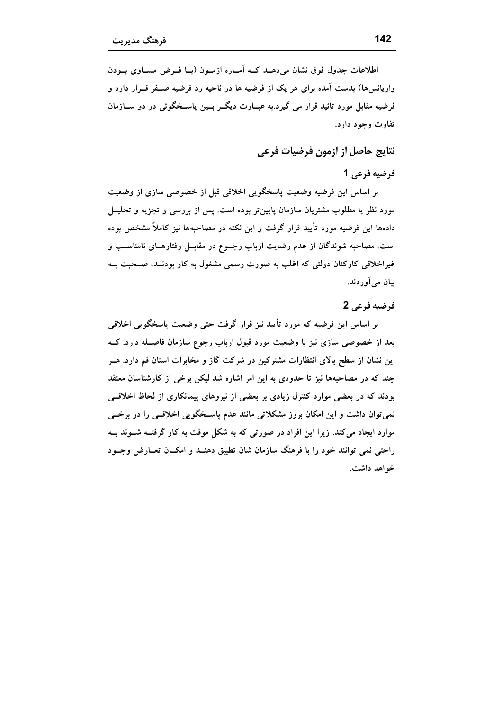اطلاعات جدول فوق نشان می دهـد کـه آمـاره ازمـون (بـا فـرض مسـاوی بـودن واریانس ها) بدست آمده برای هر یک از فرضیه ها در ناحیه رد فرضیه صـفر قـرار دارد و فرضيه مقابل مورد تائيد قرار مي گيرد.به عبــارت ديگــر بــين پاســخگوئي در دو ســازمان تفاوت وجود دارد.

نتايج حاصل از أزمون فرضيات فرعي

# فرضيه فرعي 1

بر اساس این فرضیه وضعیت پاسخگویی اخلاقی قبل از خصوصی سازی از وضعیت مورد نظر یا مطلوب مشتریان سازمان پایین تر بوده است. پس از بررسی و تجزیه و تحلیــل دادهها این فرضیه مورد تأیید قرار گرفت و این نکته در مصاحبهها نیز کاملاً مشخص بوده است. مصاحبه شوندگان از عدم رضایت ارباب رجــوع در مقابــل رفتارهــای نامناســب و غیراخلاقی کارکنان دولتی که اغلب به صورت رسمی مشغول به کار بودنــد، صــحبت بــه بيان مي آوردند.

# فرضيه فرعي 2

بر اساس این فرضیه که مورد تأیید نیز قرار گرفت حتی وضعیت پاسخگویی اخلاقی بعد از خصوصی سازی نیز با وضعیت مورد قبول ارباب رجوع سازمان فاصـله دارد. کــه این نشان از سطح بالای انتظارات مشترکین در شرکت گاز و مخابرات استان قم دارد. هــر چند که در مصاحبهها نیز تا حدودی به این امر اشاره شد لیکن برخی از کارشناسان معتقد بودند که در بعضی موارد کنترل زیادی بر بعضی از نیروهای پیمانکاری از لحاظ اخلاقبی نمی توان داشت و این امکان بروز مشکلاتی مانند عدم پاسـخگویی اخلاقـبی را در برخـبی موارد ایجاد می کند. زیرا این افراد در صورتی که به شکل موقت به کار گرفتــه شــوند بــه راحتی نمی توانند خود را با فرهنگ سازمان شان تطبیق دهنــد و امکــان تعــارض وجــود خواهد داشت.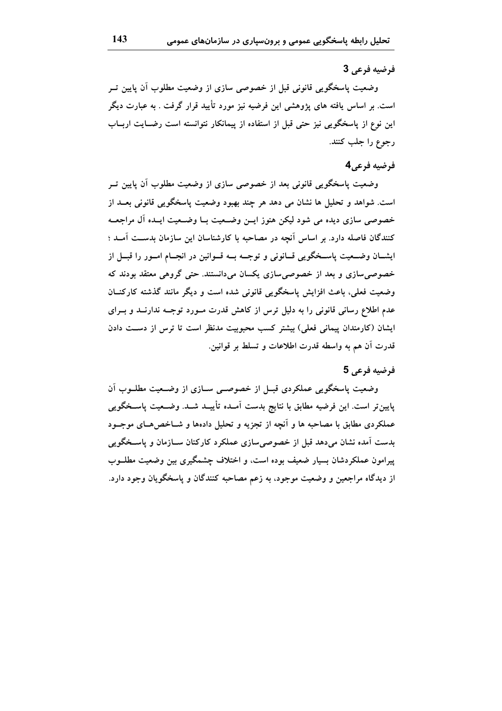## فرضيه فرعي 3

وضعیت پاسخگویی قانونی قبل از خصوصی سازی از وضعیت مطلوب آن پایین تــر است. بر اساس یافته های پژوهشی این فرضیه نیز مورد تأیید قرار گرفت . به عبارت دیگر این نوع از پاسخگویی نیز حتی قبل از استفاده از پیمانکار نتوانسته است رضـایت اربــاب رجوع را جلب كنند.

## فرضيه فرعي4

وضعیت پاسخگویی قانونی بعد از خصوصی سازی از وضعیت مطلوب آن پایین تــر است. شواهد و تحلیل ها نشان می دهد هر چند بهبود وضعیت پاسخگویی قانونی بعــد از خصوصی سازی دیده می شود لیکن هنوز ایــن وضــعیت بــا وضــعیت ایــده آل مراجعــه کنندگان فاصله دارد. بر اساس آنچه در مصاحبه با کارشناسان این سازمان بدسـت آمـد ؛ ایشــان وضــعیت پاســخگویی قــانونی و توجــه بــه قــوانین در انجــام امــور را قبــل از خصوصی سازی و بعد از خصوصی سازی یکسان میدانستند. حتی گروهی معتقد بودند که وضعیت فعلی، باعث افزایش یاسخگویی قانونی شده است و دیگر مانند گذشته کارکنــان عدم اطلاع رسانی قانونی را به دلیل ترس از کاهش قدرت مـورد توجـه ندارنــد و بــرای ایشان (کارمندان پیمانی فعلی) بیشتر کسب محبوبیت مدنظر است تا ترس از دسـت دادن قدرت أن هم به واسطه قدرت اطلاعات و تسلط بر قوانين.

#### فرضيه فرعي 5

وضعیت پاسخگویی عملکردی قبـل از خصوصـی سـازی از وضـعیت مطلــوب آن پایین تر است. این فرضیه مطابق با نتایج بدست آمـده تأییــد شــد. وضــعیت پاســخگویی عملکردی مطابق با مصاحبه ها و آنچه از تجزیه و تحلیل دادهها و شـاخصهـای موجــود بدست آمده نشان می،دهد قبل از خصوصی سازی عملکرد کارکنان ســازمان و پاســخگویی پیرامون عملکردشان بسیار ضعیف بوده است، و اختلاف چشمگیری بین وضعیت مطلــوب از دیدگاه مراجعین و وضعیت موجود، به زعم مصاحبه کنندگان و پاسخگویان وجود دارد.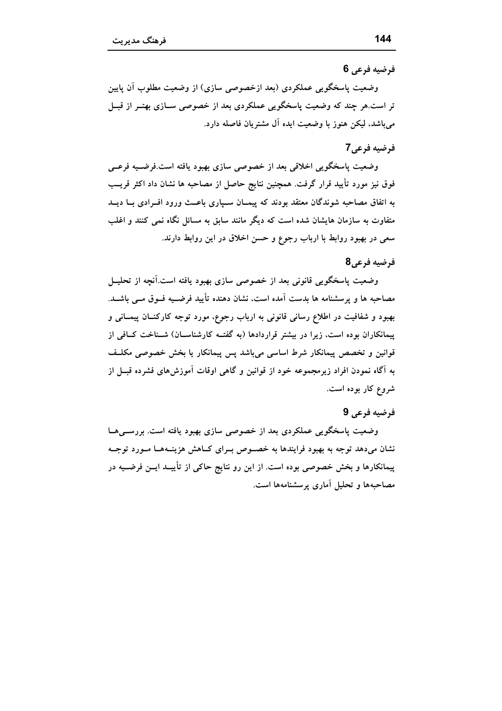#### فرضيه فرعي 6

وضعیت پاسخگویی عملکردی (بعد ازخصوصی سازی) از وضعیت مطلوب آن پایین تر است.هر چند که وضعیت پاسخگویی عملکردی بعد از خصوصی سـازی بهتـر از قبــل میباشد، لیکن هنوز با وضعیت ایده آل مشتریان فاصله دارد.

# فرضيه فرعي7

وضعیت پاسخگویی اخلاقی بعد از خصوصی سازی بهبود یافته است.فرضــیه فرعــی فوق نیز مورد تأیید قرار گرفت. همچنین نتایج حاصل از مصاحبه ها نشان داد اکثر قریــب به اتفاق مصاحبه شوندگان معتقد بودند که پیمــان ســیاری باعــث ورود افــرادی بــا دیــد متفاوت به سازمان هایشان شده است که دیگر مانند سابق به مسائل نگاه نمی کنند و اغلب سعی در بهبود روابط با ارباب رجوع و حسن اخلاق در این روابط دارند.

#### فرضيه فرعي8

وضعیت پاسخگویی قانونی بعد از خصوصی سازی بهبود یافته است.آنچه از تحلیــل مصاحبه ها و پرسشنامه ها بدست اَمده است، نشان دهنده تأیید فرضــیه فــوق مــی باشــد. بهبود و شفافیت در اطلاع رسانی قانونی به ارباب رجوع، مورد توجه کارکنــان پیمــانی و پیمانکاران بوده است، زیرا در بیشتر قراردادها (به گفتــه کارشناســان) شــناخت کــافی از قوانین و تخصص پیمانکار شرط اساسی میباشد پس پیمانکار یا بخش خصوصی مکلـف به آگاه نمودن افراد زیرمجموعه خود از قوانین و گاهی اوقات آموزش۵ای فشرده قبــل از شروع کار بوده است.

#### فرضيه فرعي 9

وضعیت پاسخگویی عملکردی بعد از خصوصی سازی بهبود یافته است. بررســیهــا نشان میدهد توجه به بهبود فرایندها به خصوص بـرای کــاهش هزینــههــا مــورد توجــه پیمانکارها و بخش خصوصی بوده است. از این رو نتایج حاکی از تأییــد ایــن فرضــیه در مصاحبهها و تحلیل آماری پرسشنامهها است.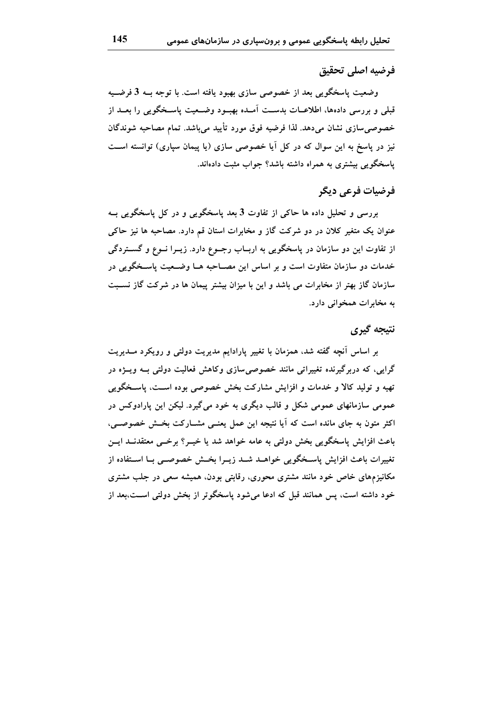## فرضيه اصلى تحقيق

وضعیت پاسخگویی بعد از خصوصی سازی بهبود یافته است. با توجه بــه 3 فرضــیه قبلي و بررسي دادهها، اطلاعــات بدســت أمــده بهبــود وضــعيت ياســخگويي را بعــد از خصوصی سازی نشان میدهد. لذا فرضیه فوق مورد تأیید می باشد. تمام مصاحبه شوندگان نیز در پاسخ به این سوال که در کل آیا خصوصی سازی (یا پیمان سپاری) توانسته است یاسخگویی بیشتری به همراه داشته باشد؟ جواب مثبت دادهاند.

# فرضيات فرعى ديگر

بررسی و تحلیل داده ها حاکی از تفاوت 3 بعد پاسخگویی و در کل پاسخگویی بــه عنوان یک متغیر کلان در دو شرکت گاز و مخابرات استان قم دارد. مصاحبه ها نیز حاکی از تفاوت این دو سازمان در پاسخگویی به اربــاب رجــوع دارد. زیــرا نــوع و گســـتردگی خدمات دو سازمان متفاوت است و بر اساس این مصــاحبه هــا وضــعیت پاســخگویی در سازمان گاز بهتر از مخابرات می باشد و این با میزان بیشتر پیمان ها در شرکت گاز نسـبت به مخابرات همخوانی دارد.

# نتيجه گيري

بر اساس آنچه گفته شد، همزمان با تغییر پارادایم مدیریت دولتی و رویکرد مــدیریت گرایی، که دربرگیرنده تغییراتی مانند خصوصی سازی وکاهش فعالیت دولتی بــه ویـــژه در تهیه و تولید کالا و خدمات و افزایش مشارکت بخش خصوصی بوده اسـت، پاسـخگویی عمومی سازمانهای عمومی شکل و قالب دیگری به خود می گیرد. لیکن این پارادوکس در اکثر متون به جای مانده است که آیا نتیجه این عمل یعنبی مشــارکت بخــش خصوصــی، باعث افزایش پاسخگویی بخش دولتی به عامه خواهد شد یا خیــر؟ برخــی معتقدنــد ایــن تغييرات باعث افزايش ياسـخگويي خواهــد شــد زيــرا بخــش خصوصــي بــا اســتفاده از مکانیزمهای خاص خود مانند مشتری محوری، رقابتی بودن، همیشه سعی در جلب مشتری خود داشته است، پس همانند قبل که ادعا می شود پاسخگوتر از بخش دولتی اســت،بعد از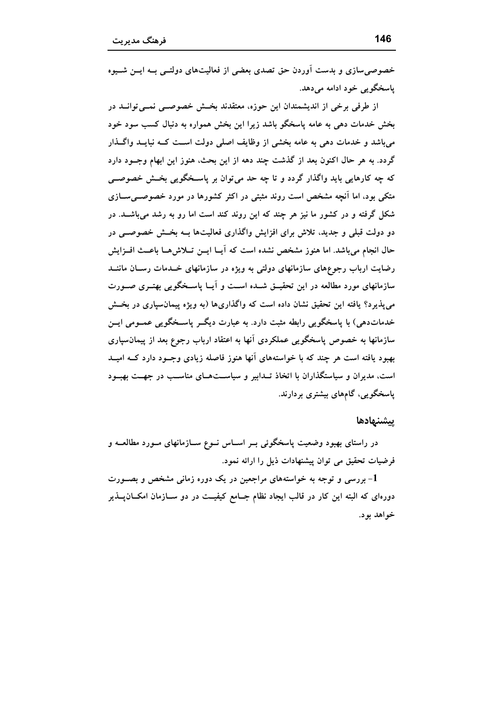خصوصی سازی و بدست آوردن حق تصدی بعضی از فعالیتهای دولتــی بــه ایــن شـــیوه یاسخگو بے خود ادامه مے دهد.

از طرفی برخی از اندیشمندان این حوزه، معتقدند بخـش خصوصــی نمــی توانــد در بخش خدمات دهی به عامه پاسخگو باشد زیرا این بخش همواره به دنبال کسب سود خود میباشد و خدمات دهی به عامه بخشی از وظایف اصلی دولت اســت کــه نبایــد واگــذار گردد. به هر حال اکنون بعد از گذشت چند دهه از این بحث، هنوز این ابهام وجــود دارد که چه کارهایی باید واگذار گردد و تا چه حد میïوان بر پاسـخگویی بخــش خصوصــی متکی بود، اما اَنجه مشخص است روند مثبتی در اکثر کشورها در مورد خصوصــی ســازی شکل گرفته و در کشور ما نیز هر چند که این روند کند است اما رو به رشد می باشــد. در دو دولت قبلی و جدید، تلاش برای افزایش واگذاری فعالیتها بــه بخــش خصوصــی در حال انجام می باشد. اما هنوز مشخص نشده است که آیــا ایــن تــلاشهــا باعــث افــزایش رضایت ارباب رجوعهای سازمانهای دولتی به ویژه در سازمانهای خــدمات رســان ماننــد سازمانهای مورد مطالعه در این تحقیــق شــده اســت و آپــا پاســخگویی بهتــری صــورت می پذیر د؟ یافته این تحقیق نشان داده است که واگذاریها (به ویژه پیمانسپاری در بخـش خدماتدهی) با پاسخگویی رابطه مثبت دارد. به عبارت دیگــر پاســخگویی عمــومی ایــن سازمانها به خصوص پاسخگویی عملکردی آنها به اعتقاد ارباب رجوع بعد از پیمانسپاری بهبود یافته است هر چند که با خواستههای آنها هنوز فاصله زیادی وجــود دارد کــه امیــد است، مدیران و سیاستگذاران با اتخاذ تــدابیر و سیاســتهــای مناسـب در جهــت بهبــود یاسخگویی، گامهای بیشتری بردارند.

#### ييشنهادها

در راستای بهبود وضعیت پاسخگوئی بــر اســاس نــوع ســازمانهای مــورد مطالعــه و فرضیات تحقیق می توان پیشنهادات ذیل را ارائه نمود.

بررسی و توجه به خواستههای مراجعین در یک دوره زمانی مشخص و بصـورت $1$ دورهای که البته این کار در قالب ایجاد نظام جــامع کیفیــت در دو ســازمان امکـــان۱یــذیر خواهد بود.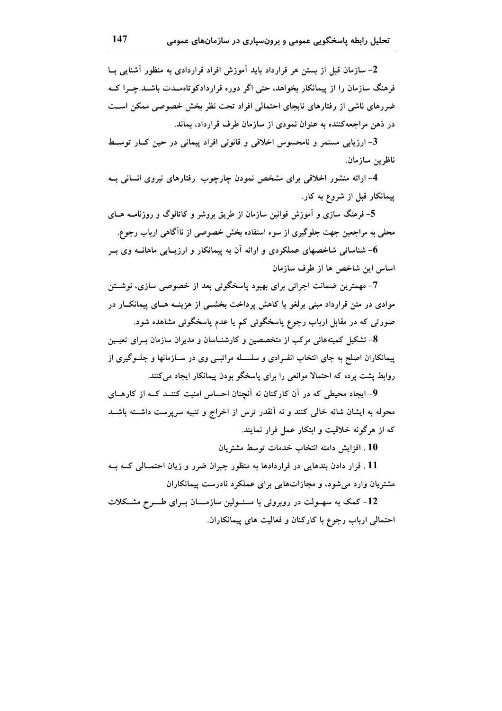2- سازمان قبل از بستن هر قرارداد باید آموزش افراد قراردادی به منظور آشنایی بــا فرهنگ سازمان را از پیمانکار بخواهد، حتی اگر دوره قراردادکو تاهسدت باشــد.چــرا کــه ضررهای ناشی از رفتارهای نابجای احتمالی افراد تحت نظر بخش خصوصی ممکن است در ذهن مراجعه کننده به عنوان نمودی از سازمان طرف قرارداد، بماند.

3- ارزیابی مستمر و نامحسوس اخلاقی و قانونی افراد پیمانی در حین کــار توســط ناظرين سازمان.

4- ارائه منشور اخلاقی برای مشخص نمودن چارچوب رفتارهای نیروی انسانی بــه پیمانکار قبل از شروع به کار.

5– فرهنگ سازی و آموزش قوانین سازمان از طریق بروشر و کاتالوگ و روزنامــه هــای محلی به مراجعین جهت جلوگیری از سوء استفاده بخش خصوصی از ناآگاهی ارباب رجوع.

شناسائی شاخصهای عملکردی و ارائه آن به پیمانکار و ارزیــابی ماهانــه وی بــر $6\,$ اساس این شاخص ها از طرف سازمان

7- مهمترین ضمانت اجرائی برای بهبود پاسخگوئی بعد از خصوصی سازی، نوشــتن موادی در متن قرارداد مبنی برلغو یا کاهش پرداخت بخشــی از هزینــه هــای پیمانکــار در صورتی که در مقابل ارباب رجوع پاسخگوئی کم یا عدم پاسخگوئی مشاهده شود.

8- تشکیل کمیتههائی مرکب از متخصصین و کارشنــاسان و مدیران سازمان بــرای تعیــین پیمانکاران اصلح به جای انتخاب انفـرادی و سلسـله مراتبــی وی در ســازمانها و جلــوگیری از روابط پشت پرده که احتمالا موانعی را برای پاسخگو بودن پیمانکار ایجاد می کنند.

9- ایجاد محیطی که در آن کارکنان نه آنچنان احساس امنیت کننــد کــه از کارهــای محوله به ایشان شانه خالی کنند و نه آنقدر ترس از اخراج و تنبیه سرپرست داشـته باشـد که از هرگونه خلاقیت و ابتکار عمل فرار نمایند.

10 . افزايش دامنه انتخاب خدمات توسط مشتريان

11 . قرار دادن بندهایی در قراردادها به منظور جبران ضرر و زیان احتمــالی کــه بــه مشتریان وارد می شود، و مجازاتهایی برای عملکرد نادرست پیمانکاران

12- کمک به سهــولت در روبروئی با مسئــولین سازمــــان بــرای طــــرح مشــکلات احتمالی ارباب رجوع با کارکنان و فعالیت های پیمانکاران.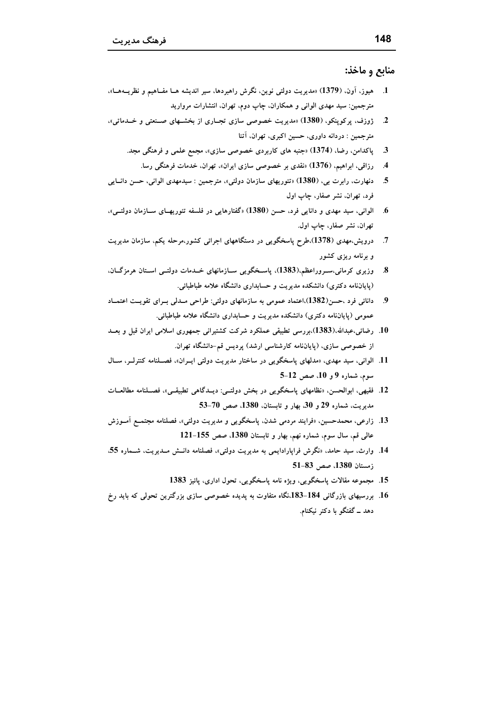#### منابع و ماخذ:

- 1. هيوز، آون، (1379) «مديريت دولتي نوين، نگرش راهبردها، سير انديشه هــا مفــاهيم و نظريـــههــا»، مترجمین: سید مهدی الوانی و همکاران، چاپ دوم، تهران، انتشارات مروارید
- ژوزف، پرکوپنکو، (1380) «مدیریت خصوصی سازی تجـاری از بخشــهای صــنعتی و خــدماتی».  $\boldsymbol{\mathcal{L}}$ مترجمین : دردانه داوری، حسین اکبری، تهران، آتنا
	- 3. پاکدامن، رضا، (1374) «جنبه های کاربردی خصوصی سازی»، مجمع علمی و فرهنگی مجد.
		- رزاقی، ابراهیم، (1376) «نقدی بر خصوصی سازی ایران»، تهران، خدمات فرهنگی رسا.  $\mathcal{A}$
- دنهارت، رابرت بي، (1380) «تئوريهاي سازمان دولتي»، مترجمين : سيدمهدي الواني، حسن دانبايي - 5 فرد، تهران، نشر صفار، چاپ اول
- الواني، سيد مهدي و دانايي فرد، حسن (1380) «گفتارهايي در فلسفه تئوريهــاي ســازمان دولتــي»، .6 تھران، نشر صفار، چاپ اول.
- 7. درویش،مهدی (1378)،طرح پاسخگویی در دستگاههای اجرائی کشور،مرحله یکم، سازمان مدیریت و برنامه ریزی کشور
- وزیری کرمانی،سـروراعظم،(1383)، پاسـخگویی ســازمانهای خــدمات دولتــی اســتان هرمزگــان.  $\boldsymbol{.8}$ (پایاننامه دکتری) دانشکده مدیریت و حسابداری دانشگاه علامه طباطبائی.
- دانائی فرد ،حسن(1382)،اعتماد عمومی به سازمانهای دولتی: طراحی مـدلی بــرای تقویــت اعتمــاد  $\boldsymbol{9}$ عمومی (پایاننامه دکتری) دانشکده مدیریت و حسابداری دانشگاه علامه طباطبائی.
- 10. رضائی،عبدالله،(1383)،بررسی تطبیقی عملکرد شرکت کشتیرانی جمهوری اسلامی ایران قبل و بعــد از خصوصی سازی، (پایاننامه کارشناسی ارشد) پردیس قم-دانشگاه تهران.
- 11. الوانی، سید مهدی، «مدلهای پاسخگویی در ساختار مدیریت دولتی ایــران»، فصــلنامه کنترلــر، ســال سوم، شماره 9 و 10، صص 12-5
- 12. فقیهی، ابوالحسن، «نظامهای پاسخگویی در بخش دولتــی: دیــدگاهی تطبیقــی»، فصــلنامه مطالعــات مديريت، شماره 29 و 30، بهار و تابستان، 1380، صص 70-53
- 13. زارعي، محمدحسين، «فرايند مردمي شدن، ياسخگويي و مديريت دولتي»، فصلنامه مجتمــع اَمــوزش عالمی قم، سال سوم، شماره نهم، بهار و تابستان 1380، صص 155–121
- 14. وارث، سيد حامد، «نگرش فراپارادايمي به مديريت دولتي»، فصلنامه دانــش مــديريت، شــماره 55. زمستان 1380، صص 83-51
	- 15. مجموعه مقالات پاسخگویی، ویژه نامه پاسخگویی، تحول اداری، پائیز 1383
- 16. بررسیهای بازرگانی 184-183،نگاه متفاوت به پدیده خصوصی سازی بزرگترین تحولی که باید رخ دهد ــ گفتگو با دکتر نیکنام.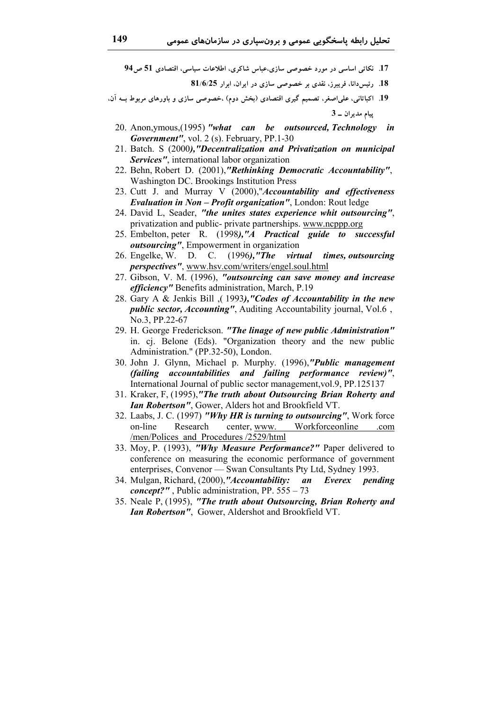17. نکاتی اساسی در مورد خصوصی سازی،عباس شاکری، اطلاعات سیاسی، اقتصادی 51 ص94

- 18. رئيس دانا، فريبرز، نقدى بر خصوصى سازى در ايران، ابرار 81/6/25
- 19. اکباتانی، علی اصغر، تصمیم گیری اقتصادی (بخش دوم) ،خصوصی سازی و باورهای مربوط بــه آن، ييام مديران ــ 3
	- 20. Anon.ymous.(1995) "what can be outsourced, Technology in Government", vol. 2 (s). February, PP.1-30
	- 21. Batch. S (2000), "Decentralization and Privatization on municipal Services", international labor organization
	- 22. Behn, Robert D. (2001),"Rethinking Democratic Accountability", Washington DC. Brookings Institution Press
	- 23. Cutt J. and Murray V (2000),"Accountability and effectiveness **Evaluation in Non - Profit organization"**, London: Rout ledge
	- 24. David L, Seader, "the unites states experience whit outsourcing", privatization and public- private partnerships. www.ncppp.org
	- 25. Embelton, peter R. (1998), "A Practical guide to successful *outsourcing"*, Empowerment in organization
	- 26. Engelke, W. D. C. (1996),"The virtual times, outsourcing perspectives", www.hsv.com/writers/engel.soul.html
	- 27. Gibson, V. M. (1996), "outsourcing can save money and increase efficiency" Benefits administration, March, P.19
	- 28. Gary A & Jenkis Bill (1993), "Codes of Accountability in the new *public sector, Accounting"*, Auditing Accountability journal, Vol.6, No.3. PP.22-67
	- 29. H. George Frederickson. "The linage of new public Administration" in. cj. Belone (Eds). "Organization theory and the new public Administration." (PP.32-50), London.
	- 30. John J. Glynn, Michael p. Murphy. (1996),"Public management (failing accountabilities and failing performance review)", International Journal of public sector management, vol.9, PP.125137
	- 31. Kraker, F, (1995),"The truth about Outsourcing Brian Roherty and **Ian Robertson".** Gower, Alders hot and Brookfield VT.
	- 32. Laabs, J. C. (1997) "Why HR is turning to outsourcing", Work force on-line Research center, www. Workforceonline .com /men/Polices and Procedures/2529/html
	- 33. Moy, P. (1993), "Why Measure Performance?" Paper delivered to conference on measuring the economic performance of government enterprises, Convenor — Swan Consultants Pty Ltd, Sydney 1993.
	- 34. Mulgan, Richard, (2000), "Accountability: an Everex pending *concept?"*, Public administration, PP.  $555 - 73$
	- 35. Neale P, (1995), "The truth about Outsourcing, Brian Roherty and Ian Robertson", Gower, Aldershot and Brookfield VT.